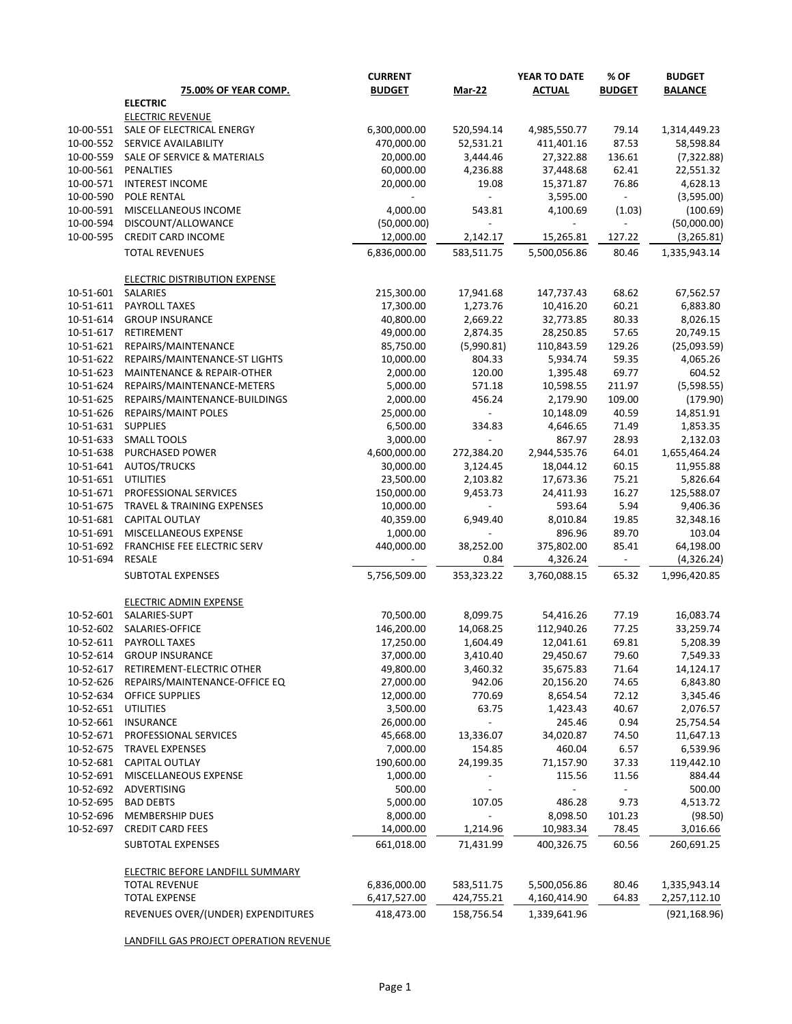|                        | 75.00% OF YEAR COMP.                       | <b>CURRENT</b><br><b>BUDGET</b> | <b>Mar-22</b>            | YEAR TO DATE<br><b>ACTUAL</b> | % OF<br><b>BUDGET</b>    | <b>BUDGET</b><br><b>BALANCE</b> |
|------------------------|--------------------------------------------|---------------------------------|--------------------------|-------------------------------|--------------------------|---------------------------------|
|                        | <b>ELECTRIC</b>                            |                                 |                          |                               |                          |                                 |
|                        | <b>ELECTRIC REVENUE</b>                    |                                 |                          |                               |                          |                                 |
| 10-00-551              | SALE OF ELECTRICAL ENERGY                  | 6,300,000.00                    | 520,594.14               | 4,985,550.77                  | 79.14                    | 1,314,449.23                    |
| 10-00-552              | SERVICE AVAILABILITY                       | 470,000.00                      | 52,531.21                | 411,401.16                    | 87.53                    | 58,598.84                       |
| 10-00-559              | SALE OF SERVICE & MATERIALS                | 20,000.00                       | 3,444.46                 | 27,322.88                     | 136.61                   | (7, 322.88)                     |
| 10-00-561              | PENALTIES                                  | 60,000.00                       | 4,236.88                 | 37,448.68                     | 62.41                    | 22,551.32                       |
| 10-00-571              | <b>INTEREST INCOME</b>                     | 20,000.00                       | 19.08                    | 15,371.87                     | 76.86                    | 4,628.13                        |
| 10-00-590              | POLE RENTAL                                |                                 | $\overline{\phantom{a}}$ | 3,595.00                      | $\overline{\phantom{a}}$ | (3,595.00)                      |
| 10-00-591              | MISCELLANEOUS INCOME                       | 4,000.00                        | 543.81                   | 4,100.69                      | (1.03)                   | (100.69)                        |
| 10-00-594              | DISCOUNT/ALLOWANCE                         | (50,000.00)                     | $\overline{\phantom{a}}$ |                               | $\overline{a}$           | (50,000.00)                     |
| 10-00-595              | CREDIT CARD INCOME                         | 12,000.00                       | 2,142.17                 | 15,265.81                     | 127.22                   | (3, 265.81)                     |
|                        | <b>TOTAL REVENUES</b>                      | 6,836,000.00                    | 583,511.75               | 5,500,056.86                  | 80.46                    | 1,335,943.14                    |
|                        | <b>ELECTRIC DISTRIBUTION EXPENSE</b>       |                                 |                          |                               |                          |                                 |
| 10-51-601              | SALARIES                                   | 215,300.00                      | 17,941.68                | 147,737.43                    | 68.62                    | 67,562.57                       |
| 10-51-611              | PAYROLL TAXES                              | 17,300.00                       | 1,273.76                 | 10,416.20                     | 60.21                    | 6,883.80                        |
| 10-51-614              | <b>GROUP INSURANCE</b>                     | 40,800.00                       | 2,669.22                 | 32,773.85                     | 80.33                    | 8,026.15                        |
| 10-51-617              | RETIREMENT                                 | 49,000.00                       | 2,874.35                 | 28,250.85                     | 57.65                    | 20,749.15                       |
| 10-51-621              | REPAIRS/MAINTENANCE                        | 85,750.00                       | (5,990.81)               | 110,843.59                    | 129.26                   | (25,093.59)                     |
| 10-51-622              | REPAIRS/MAINTENANCE-ST LIGHTS              | 10,000.00                       | 804.33                   | 5,934.74                      | 59.35                    | 4,065.26                        |
| 10-51-623              | MAINTENANCE & REPAIR-OTHER                 | 2,000.00                        | 120.00                   | 1,395.48                      | 69.77                    | 604.52                          |
| 10-51-624              | REPAIRS/MAINTENANCE-METERS                 | 5,000.00                        | 571.18                   | 10,598.55                     | 211.97                   | (5,598.55)                      |
| 10-51-625              | REPAIRS/MAINTENANCE-BUILDINGS              | 2,000.00                        | 456.24                   | 2,179.90                      | 109.00                   | (179.90)                        |
| 10-51-626              | REPAIRS/MAINT POLES                        | 25,000.00                       | $\overline{\phantom{a}}$ | 10,148.09                     | 40.59                    | 14,851.91                       |
| 10-51-631              | <b>SUPPLIES</b>                            | 6,500.00                        | 334.83                   | 4,646.65                      | 71.49                    | 1,853.35                        |
| 10-51-633              | <b>SMALL TOOLS</b>                         | 3,000.00                        | $\overline{\phantom{a}}$ | 867.97                        | 28.93                    | 2,132.03                        |
| 10-51-638              | PURCHASED POWER                            | 4,600,000.00                    | 272,384.20               | 2,944,535.76                  | 64.01                    | 1,655,464.24                    |
| 10-51-641              | AUTOS/TRUCKS                               | 30,000.00                       | 3,124.45                 | 18,044.12                     | 60.15                    | 11,955.88                       |
| 10-51-651              | <b>UTILITIES</b>                           | 23,500.00                       | 2,103.82                 | 17,673.36                     | 75.21                    | 5,826.64                        |
| 10-51-671              | PROFESSIONAL SERVICES                      | 150,000.00                      | 9,453.73                 | 24,411.93                     | 16.27                    | 125,588.07                      |
| 10-51-675              | <b>TRAVEL &amp; TRAINING EXPENSES</b>      | 10,000.00                       | $\blacksquare$           | 593.64                        | 5.94                     | 9,406.36                        |
| 10-51-681              | <b>CAPITAL OUTLAY</b>                      | 40,359.00                       | 6,949.40                 | 8,010.84                      | 19.85                    | 32,348.16                       |
| 10-51-691              | MISCELLANEOUS EXPENSE                      | 1,000.00                        | $\blacksquare$           | 896.96                        | 89.70                    | 103.04                          |
| 10-51-692              | FRANCHISE FEE ELECTRIC SERV                | 440,000.00                      | 38,252.00                | 375,802.00                    | 85.41                    | 64,198.00                       |
| 10-51-694              | <b>RESALE</b>                              |                                 | 0.84                     | 4,326.24                      | $\overline{\phantom{a}}$ | (4,326.24)                      |
|                        | SUBTOTAL EXPENSES                          | 5,756,509.00                    | 353,323.22               | 3,760,088.15                  | 65.32                    | 1,996,420.85                    |
|                        | <b>ELECTRIC ADMIN EXPENSE</b>              |                                 |                          |                               |                          |                                 |
| 10-52-601              | SALARIES-SUPT                              | 70,500.00                       | 8,099.75                 | 54,416.26                     | 77.19                    | 16,083.74                       |
| 10-52-602              | SALARIES-OFFICE                            | 146,200.00                      | 14,068.25                | 112,940.26                    | 77.25                    | 33,259.74                       |
| 10-52-611              | PAYROLL TAXES                              | 17,250.00                       | 1,604.49                 | 12,041.61                     | 69.81                    | 5,208.39                        |
| 10-52-614              | <b>GROUP INSURANCE</b>                     | 37,000.00                       | 3,410.40                 | 29,450.67                     | 79.60                    | 7,549.33                        |
| 10-52-617              | RETIREMENT-ELECTRIC OTHER                  | 49,800.00                       | 3,460.32                 | 35,675.83                     | 71.64                    | 14,124.17                       |
| 10-52-626              | REPAIRS/MAINTENANCE-OFFICE EQ              | 27,000.00                       | 942.06                   | 20,156.20                     | 74.65                    | 6,843.80                        |
| 10-52-634              | OFFICE SUPPLIES                            | 12,000.00                       | 770.69                   | 8,654.54                      | 72.12                    | 3,345.46                        |
| 10-52-651              | <b>UTILITIES</b>                           | 3,500.00                        | 63.75                    | 1,423.43                      | 40.67                    | 2,076.57                        |
| 10-52-661              | <b>INSURANCE</b>                           | 26,000.00                       | $\overline{\phantom{a}}$ | 245.46                        | 0.94                     | 25,754.54                       |
| 10-52-671              | PROFESSIONAL SERVICES                      | 45,668.00                       | 13,336.07                | 34,020.87                     | 74.50<br>6.57            | 11,647.13                       |
| 10-52-675              | <b>TRAVEL EXPENSES</b>                     | 7,000.00                        | 154.85                   | 460.04                        |                          | 6,539.96                        |
| 10-52-681              | CAPITAL OUTLAY                             | 190,600.00                      | 24,199.35                | 71,157.90                     | 37.33                    | 119,442.10<br>884.44            |
| 10-52-691              | MISCELLANEOUS EXPENSE                      | 1,000.00                        |                          | 115.56                        | 11.56                    |                                 |
| 10-52-692<br>10-52-695 | ADVERTISING                                | 500.00                          |                          |                               |                          | 500.00                          |
| 10-52-696              | <b>BAD DEBTS</b><br><b>MEMBERSHIP DUES</b> | 5,000.00<br>8,000.00            | 107.05                   | 486.28                        | 9.73                     | 4,513.72                        |
| 10-52-697              | <b>CREDIT CARD FEES</b>                    |                                 |                          | 8,098.50                      | 101.23                   | (98.50)                         |
|                        |                                            | 14,000.00                       | 1,214.96                 | 10,983.34                     | 78.45                    | 3,016.66                        |
|                        | SUBTOTAL EXPENSES                          | 661,018.00                      | 71,431.99                | 400,326.75                    | 60.56                    | 260,691.25                      |
|                        | <b>ELECTRIC BEFORE LANDFILL SUMMARY</b>    |                                 |                          |                               |                          |                                 |
|                        | <b>TOTAL REVENUE</b>                       | 6,836,000.00                    | 583,511.75               | 5,500,056.86                  | 80.46                    | 1,335,943.14                    |
|                        | <b>TOTAL EXPENSE</b>                       | 6,417,527.00                    | 424,755.21               | 4,160,414.90                  | 64.83                    | 2,257,112.10                    |
|                        | REVENUES OVER/(UNDER) EXPENDITURES         | 418,473.00                      | 158,756.54               | 1,339,641.96                  |                          | (921, 168.96)                   |

LANDFILL GAS PROJECT OPERATION REVENUE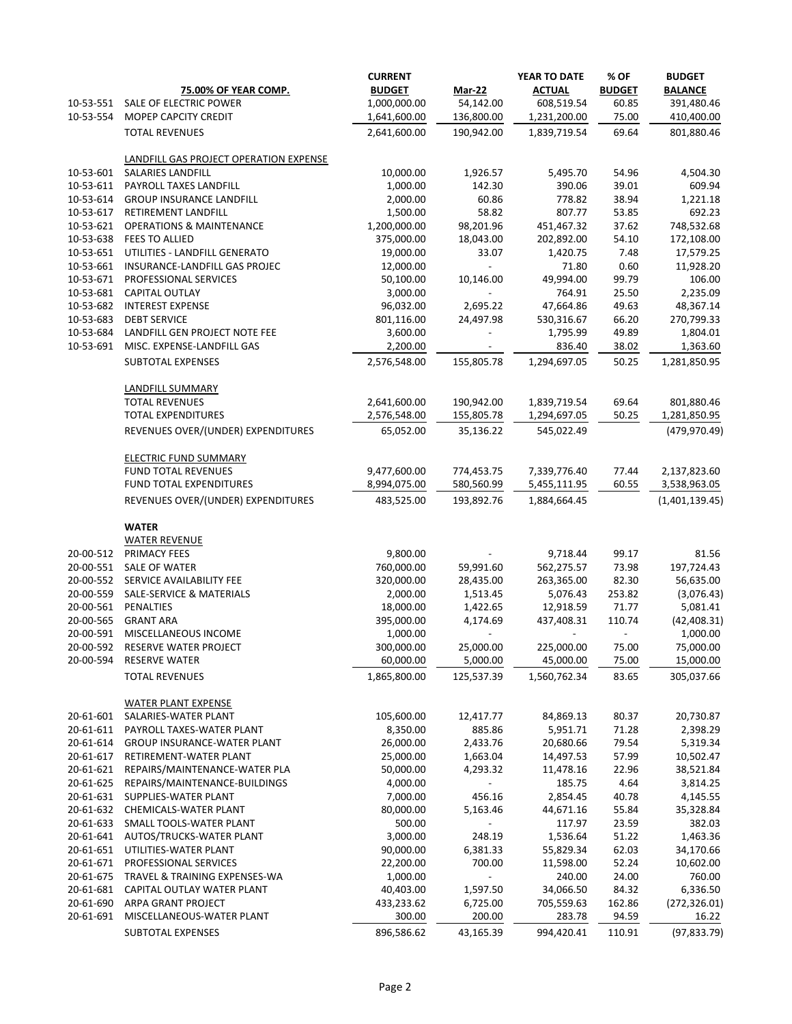| 10-53-551              | <b>75.00% OF YEAR COMP.</b><br>SALE OF ELECTRIC POWER           | <b>CURRENT</b><br><b>BUDGET</b><br>1,000,000.00 | <b>Mar-22</b><br>54,142.00           | YEAR TO DATE<br><b>ACTUAL</b><br>608,519.54 | % OF<br><b>BUDGET</b><br>60.85 | <b>BUDGET</b><br><b>BALANCE</b><br>391,480.46 |
|------------------------|-----------------------------------------------------------------|-------------------------------------------------|--------------------------------------|---------------------------------------------|--------------------------------|-----------------------------------------------|
| 10-53-554              | MOPEP CAPCITY CREDIT                                            | 1,641,600.00                                    | 136,800.00                           | 1,231,200.00                                | 75.00                          | 410,400.00                                    |
|                        | <b>TOTAL REVENUES</b>                                           | 2,641,600.00                                    | 190,942.00                           | 1,839,719.54                                | 69.64                          | 801,880.46                                    |
|                        | LANDFILL GAS PROJECT OPERATION EXPENSE                          |                                                 |                                      |                                             |                                |                                               |
| 10-53-601              | SALARIES LANDFILL                                               | 10,000.00                                       | 1,926.57                             | 5,495.70                                    | 54.96                          | 4,504.30                                      |
| 10-53-611              | PAYROLL TAXES LANDFILL                                          | 1,000.00                                        | 142.30                               | 390.06                                      | 39.01                          | 609.94                                        |
| 10-53-614<br>10-53-617 | <b>GROUP INSURANCE LANDFILL</b><br>RETIREMENT LANDFILL          | 2,000.00<br>1,500.00                            | 60.86<br>58.82                       | 778.82<br>807.77                            | 38.94<br>53.85                 | 1,221.18<br>692.23                            |
| 10-53-621              | <b>OPERATIONS &amp; MAINTENANCE</b>                             | 1,200,000.00                                    | 98,201.96                            | 451,467.32                                  | 37.62                          | 748,532.68                                    |
| 10-53-638              | FEES TO ALLIED                                                  | 375,000.00                                      | 18,043.00                            | 202,892.00                                  | 54.10                          | 172,108.00                                    |
| 10-53-651              | UTILITIES - LANDFILL GENERATO                                   | 19,000.00                                       | 33.07                                | 1,420.75                                    | 7.48                           | 17,579.25                                     |
| 10-53-661              | INSURANCE-LANDFILL GAS PROJEC                                   | 12,000.00                                       | $\sim$                               | 71.80                                       | 0.60                           | 11,928.20                                     |
| 10-53-671              | PROFESSIONAL SERVICES                                           | 50,100.00                                       | 10,146.00                            | 49,994.00                                   | 99.79                          | 106.00                                        |
| 10-53-681              | CAPITAL OUTLAY                                                  | 3,000.00                                        | $\overline{\phantom{a}}$             | 764.91                                      | 25.50                          | 2,235.09                                      |
| 10-53-682              | <b>INTEREST EXPENSE</b>                                         | 96,032.00                                       | 2,695.22                             | 47,664.86                                   | 49.63                          | 48,367.14                                     |
| 10-53-683              | <b>DEBT SERVICE</b>                                             | 801,116.00                                      | 24,497.98                            | 530,316.67                                  | 66.20                          | 270,799.33                                    |
| 10-53-684              | LANDFILL GEN PROJECT NOTE FEE                                   | 3,600.00                                        |                                      | 1,795.99                                    | 49.89                          | 1,804.01                                      |
| 10-53-691              | MISC. EXPENSE-LANDFILL GAS<br><b>SUBTOTAL EXPENSES</b>          | 2,200.00<br>2,576,548.00                        | $\blacksquare$<br>155,805.78         | 836.40<br>1,294,697.05                      | 38.02<br>50.25                 | 1,363.60<br>1,281,850.95                      |
|                        | LANDFILL SUMMARY                                                |                                                 |                                      |                                             |                                |                                               |
|                        | <b>TOTAL REVENUES</b>                                           | 2,641,600.00                                    | 190,942.00                           | 1,839,719.54                                | 69.64                          | 801,880.46                                    |
|                        | <b>TOTAL EXPENDITURES</b><br>REVENUES OVER/(UNDER) EXPENDITURES | 2,576,548.00<br>65,052.00                       | 155,805.78<br>35,136.22              | 1,294,697.05<br>545,022.49                  | 50.25                          | 1,281,850.95<br>(479, 970.49)                 |
|                        |                                                                 |                                                 |                                      |                                             |                                |                                               |
|                        | <b>ELECTRIC FUND SUMMARY</b>                                    |                                                 |                                      |                                             |                                |                                               |
|                        | <b>FUND TOTAL REVENUES</b><br>FUND TOTAL EXPENDITURES           | 9,477,600.00                                    | 774,453.75                           | 7,339,776.40                                | 77.44                          | 2,137,823.60                                  |
|                        | REVENUES OVER/(UNDER) EXPENDITURES                              | 8,994,075.00<br>483,525.00                      | 580,560.99<br>193,892.76             | 5,455,111.95<br>1,884,664.45                | 60.55                          | 3,538,963.05<br>(1,401,139.45)                |
|                        | <b>WATER</b>                                                    |                                                 |                                      |                                             |                                |                                               |
|                        | <b>WATER REVENUE</b>                                            |                                                 |                                      |                                             |                                |                                               |
|                        | 20-00-512 PRIMACY FEES                                          | 9,800.00                                        |                                      | 9,718.44                                    | 99.17                          | 81.56                                         |
|                        | 20-00-551 SALE OF WATER                                         | 760,000.00                                      | 59,991.60                            | 562,275.57                                  | 73.98                          | 197,724.43                                    |
| 20-00-552<br>20-00-559 | SERVICE AVAILABILITY FEE<br>SALE-SERVICE & MATERIALS            | 320,000.00<br>2,000.00                          | 28,435.00<br>1,513.45                | 263,365.00<br>5,076.43                      | 82.30<br>253.82                | 56,635.00<br>(3,076.43)                       |
| 20-00-561              | PENALTIES                                                       | 18,000.00                                       | 1,422.65                             | 12,918.59                                   | 71.77                          | 5,081.41                                      |
| 20-00-565              | <b>GRANT ARA</b>                                                | 395,000.00                                      | 4,174.69                             | 437,408.31                                  | 110.74                         | (42, 408.31)                                  |
| 20-00-591              | MISCELLANEOUS INCOME                                            | 1,000.00                                        |                                      |                                             |                                | 1,000.00                                      |
| 20-00-592              | RESERVE WATER PROJECT                                           | 300,000.00                                      | 25,000.00                            | 225,000.00                                  | 75.00                          | 75,000.00                                     |
| 20-00-594              | <b>RESERVE WATER</b>                                            | 60,000.00                                       | 5,000.00                             | 45,000.00                                   | 75.00                          | 15,000.00                                     |
|                        | <b>TOTAL REVENUES</b>                                           | 1,865,800.00                                    | 125,537.39                           | 1,560,762.34                                | 83.65                          | 305,037.66                                    |
|                        | <b>WATER PLANT EXPENSE</b>                                      |                                                 |                                      |                                             |                                |                                               |
| 20-61-601              | SALARIES-WATER PLANT                                            | 105,600.00                                      | 12,417.77                            | 84,869.13                                   | 80.37                          | 20,730.87                                     |
| 20-61-611<br>20-61-614 | PAYROLL TAXES-WATER PLANT<br><b>GROUP INSURANCE-WATER PLANT</b> | 8,350.00<br>26,000.00                           | 885.86<br>2,433.76                   | 5,951.71<br>20,680.66                       | 71.28<br>79.54                 | 2,398.29<br>5,319.34                          |
| 20-61-617              | RETIREMENT-WATER PLANT                                          | 25,000.00                                       | 1,663.04                             | 14,497.53                                   | 57.99                          | 10,502.47                                     |
| 20-61-621              | REPAIRS/MAINTENANCE-WATER PLA                                   | 50,000.00                                       | 4,293.32                             | 11,478.16                                   | 22.96                          | 38,521.84                                     |
| 20-61-625              | REPAIRS/MAINTENANCE-BUILDINGS                                   | 4,000.00                                        | $\blacksquare$                       | 185.75                                      | 4.64                           | 3,814.25                                      |
| 20-61-631              | SUPPLIES-WATER PLANT                                            | 7,000.00                                        | 456.16                               | 2,854.45                                    | 40.78                          | 4,145.55                                      |
| 20-61-632              | <b>CHEMICALS-WATER PLANT</b>                                    | 80,000.00                                       | 5,163.46                             | 44,671.16                                   | 55.84                          | 35,328.84                                     |
| 20-61-633              | SMALL TOOLS-WATER PLANT                                         | 500.00                                          | $\overline{\phantom{a}}$             | 117.97                                      | 23.59                          | 382.03                                        |
| 20-61-641              | AUTOS/TRUCKS-WATER PLANT                                        | 3,000.00                                        | 248.19                               | 1,536.64                                    | 51.22                          | 1,463.36                                      |
| 20-61-651              | UTILITIES-WATER PLANT                                           | 90,000.00                                       | 6,381.33                             | 55,829.34                                   | 62.03                          | 34,170.66                                     |
| 20-61-671              | PROFESSIONAL SERVICES                                           | 22,200.00                                       | 700.00                               | 11,598.00                                   | 52.24                          | 10,602.00                                     |
| 20-61-675<br>20-61-681 | TRAVEL & TRAINING EXPENSES-WA<br>CAPITAL OUTLAY WATER PLANT     | 1,000.00<br>40,403.00                           | $\overline{\phantom{a}}$<br>1,597.50 | 240.00<br>34,066.50                         | 24.00<br>84.32                 | 760.00                                        |
| 20-61-690              | ARPA GRANT PROJECT                                              | 433,233.62                                      | 6,725.00                             | 705,559.63                                  | 162.86                         | 6,336.50<br>(272, 326.01)                     |
| 20-61-691              | MISCELLANEOUS-WATER PLANT                                       | 300.00                                          | 200.00                               | 283.78                                      | 94.59                          | 16.22                                         |
|                        | SUBTOTAL EXPENSES                                               | 896,586.62                                      | 43,165.39                            | 994,420.41                                  | 110.91                         | (97, 833.79)                                  |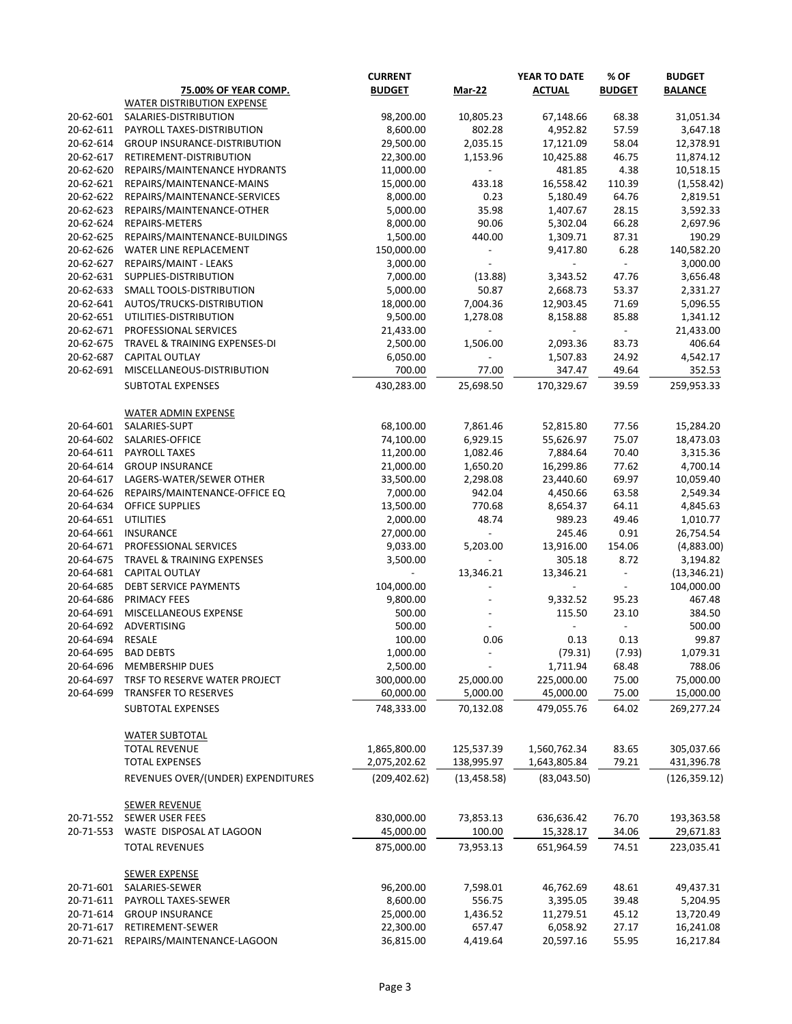|           |                                                   | <b>CURRENT</b>          |                          | YEAR TO DATE            | % OF           | <b>BUDGET</b>           |
|-----------|---------------------------------------------------|-------------------------|--------------------------|-------------------------|----------------|-------------------------|
|           | <b>75.00% OF YEAR COMP.</b>                       | <b>BUDGET</b>           | <b>Mar-22</b>            | <b>ACTUAL</b>           | <b>BUDGET</b>  | <b>BALANCE</b>          |
|           | WATER DISTRIBUTION EXPENSE                        |                         |                          |                         |                |                         |
| 20-62-601 | SALARIES-DISTRIBUTION                             | 98,200.00               | 10,805.23                | 67,148.66               | 68.38          | 31,051.34               |
| 20-62-611 | PAYROLL TAXES-DISTRIBUTION                        | 8,600.00                | 802.28                   | 4,952.82                | 57.59          | 3,647.18                |
| 20-62-614 | <b>GROUP INSURANCE-DISTRIBUTION</b>               | 29,500.00               | 2,035.15                 | 17,121.09               | 58.04          | 12,378.91               |
| 20-62-617 | RETIREMENT-DISTRIBUTION                           | 22,300.00               | 1,153.96                 | 10,425.88               | 46.75          | 11,874.12               |
| 20-62-620 | REPAIRS/MAINTENANCE HYDRANTS                      | 11,000.00               | $\blacksquare$           | 481.85                  | 4.38           | 10,518.15               |
| 20-62-621 | REPAIRS/MAINTENANCE-MAINS                         | 15,000.00               | 433.18                   | 16,558.42               | 110.39         | (1,558.42)              |
| 20-62-622 | REPAIRS/MAINTENANCE-SERVICES                      | 8,000.00                | 0.23                     | 5,180.49                | 64.76          | 2,819.51                |
| 20-62-623 | REPAIRS/MAINTENANCE-OTHER                         | 5,000.00                | 35.98                    | 1,407.67                | 28.15          | 3,592.33                |
| 20-62-624 | REPAIRS-METERS                                    | 8,000.00                | 90.06                    | 5,302.04                | 66.28          | 2,697.96                |
| 20-62-625 | REPAIRS/MAINTENANCE-BUILDINGS                     | 1,500.00                | 440.00                   | 1,309.71                | 87.31          | 190.29                  |
| 20-62-626 | WATER LINE REPLACEMENT                            | 150,000.00              | $\overline{\phantom{a}}$ | 9,417.80                | 6.28           | 140,582.20              |
| 20-62-627 | REPAIRS/MAINT - LEAKS                             | 3,000.00                | $\blacksquare$           |                         |                | 3,000.00                |
| 20-62-631 | SUPPLIES-DISTRIBUTION                             | 7,000.00                | (13.88)                  | 3,343.52                | 47.76          | 3,656.48                |
| 20-62-633 | SMALL TOOLS-DISTRIBUTION                          | 5,000.00                | 50.87                    | 2,668.73                | 53.37          | 2,331.27                |
| 20-62-641 | AUTOS/TRUCKS-DISTRIBUTION                         | 18,000.00               | 7,004.36                 | 12,903.45               | 71.69          | 5,096.55                |
| 20-62-651 | UTILITIES-DISTRIBUTION                            | 9,500.00                | 1,278.08                 | 8,158.88                | 85.88          | 1,341.12                |
| 20-62-671 | PROFESSIONAL SERVICES                             | 21,433.00               |                          |                         |                | 21,433.00               |
| 20-62-675 | TRAVEL & TRAINING EXPENSES-DI                     | 2,500.00                | 1,506.00                 | 2,093.36                | 83.73          | 406.64                  |
| 20-62-687 | <b>CAPITAL OUTLAY</b>                             | 6,050.00                |                          | 1,507.83                | 24.92          | 4,542.17                |
| 20-62-691 | MISCELLANEOUS-DISTRIBUTION                        | 700.00                  | 77.00                    | 347.47                  | 49.64          | 352.53                  |
|           |                                                   |                         |                          |                         |                |                         |
|           | SUBTOTAL EXPENSES                                 | 430,283.00              | 25,698.50                | 170,329.67              | 39.59          | 259,953.33              |
|           | <b>WATER ADMIN EXPENSE</b>                        |                         |                          |                         |                |                         |
| 20-64-601 | SALARIES-SUPT                                     | 68,100.00               | 7,861.46                 | 52,815.80               | 77.56          | 15,284.20               |
| 20-64-602 | SALARIES-OFFICE                                   | 74,100.00               | 6,929.15                 | 55,626.97               | 75.07          | 18,473.03               |
| 20-64-611 | PAYROLL TAXES                                     | 11,200.00               | 1,082.46                 | 7,884.64                | 70.40          | 3,315.36                |
| 20-64-614 | <b>GROUP INSURANCE</b>                            | 21,000.00               | 1,650.20                 | 16,299.86               | 77.62          | 4,700.14                |
| 20-64-617 | LAGERS-WATER/SEWER OTHER                          | 33,500.00               | 2,298.08                 | 23,440.60               | 69.97          | 10,059.40               |
| 20-64-626 | REPAIRS/MAINTENANCE-OFFICE EQ                     | 7,000.00                | 942.04                   | 4,450.66                | 63.58          | 2,549.34                |
| 20-64-634 | <b>OFFICE SUPPLIES</b>                            | 13,500.00               | 770.68                   | 8,654.37                | 64.11          | 4,845.63                |
| 20-64-651 | <b>UTILITIES</b>                                  | 2,000.00                | 48.74                    | 989.23                  | 49.46          | 1,010.77                |
| 20-64-661 | <b>INSURANCE</b>                                  | 27,000.00               | $\overline{\phantom{a}}$ | 245.46                  | 0.91           | 26,754.54               |
| 20-64-671 | PROFESSIONAL SERVICES                             | 9,033.00                | 5,203.00                 | 13,916.00               | 154.06         | (4,883.00)              |
| 20-64-675 | TRAVEL & TRAINING EXPENSES                        | 3,500.00                | $\overline{\phantom{a}}$ | 305.18                  | 8.72           | 3,194.82                |
| 20-64-681 | <b>CAPITAL OUTLAY</b>                             |                         | 13,346.21                | 13,346.21               |                | (13, 346.21)            |
| 20-64-685 | <b>DEBT SERVICE PAYMENTS</b>                      | 104,000.00              |                          |                         |                | 104,000.00              |
| 20-64-686 | PRIMACY FEES                                      | 9,800.00                |                          | 9,332.52                | 95.23          | 467.48                  |
| 20-64-691 | MISCELLANEOUS EXPENSE                             | 500.00                  |                          | 115.50                  | 23.10          | 384.50                  |
| 20-64-692 | ADVERTISING                                       | 500.00                  |                          |                         |                | 500.00                  |
| 20-64-694 | <b>RESALE</b>                                     | 100.00                  | 0.06                     | 0.13                    | 0.13           | 99.87                   |
| 20-64-695 | <b>BAD DEBTS</b>                                  | 1,000.00                |                          | (79.31)                 | (7.93)         | 1,079.31                |
| 20-64-696 | MEMBERSHIP DUES                                   | 2,500.00                |                          | 1,711.94                | 68.48          | 788.06                  |
| 20-64-697 | TRSF TO RESERVE WATER PROJECT                     | 300,000.00              | 25,000.00                | 225,000.00              | 75.00          | 75,000.00               |
| 20-64-699 | <b>TRANSFER TO RESERVES</b>                       | 60,000.00               | 5,000.00                 | 45,000.00               | 75.00          | 15,000.00               |
|           | <b>SUBTOTAL EXPENSES</b>                          | 748,333.00              | 70,132.08                | 479,055.76              | 64.02          | 269,277.24              |
|           | <b>WATER SUBTOTAL</b>                             |                         |                          |                         |                |                         |
|           | <b>TOTAL REVENUE</b>                              | 1,865,800.00            | 125,537.39               | 1,560,762.34            | 83.65          | 305,037.66              |
|           | <b>TOTAL EXPENSES</b>                             | 2,075,202.62            | 138,995.97               | 1,643,805.84            | 79.21          | 431,396.78              |
|           | REVENUES OVER/(UNDER) EXPENDITURES                | (209, 402.62)           | (13, 458.58)             | (83,043.50)             |                | (126, 359.12)           |
|           |                                                   |                         |                          |                         |                |                         |
| 20-71-552 | <b>SEWER REVENUE</b><br>SEWER USER FEES           |                         |                          |                         | 76.70          |                         |
|           |                                                   | 830,000.00              | 73,853.13                | 636,636.42              |                | 193,363.58              |
| 20-71-553 | WASTE DISPOSAL AT LAGOON<br><b>TOTAL REVENUES</b> | 45,000.00<br>875,000.00 | 100.00<br>73,953.13      | 15,328.17<br>651,964.59 | 34.06<br>74.51 | 29,671.83<br>223,035.41 |
|           |                                                   |                         |                          |                         |                |                         |
| 20-71-601 | <b>SEWER EXPENSE</b><br>SALARIES-SEWER            | 96,200.00               | 7,598.01                 | 46,762.69               | 48.61          | 49,437.31               |
| 20-71-611 | PAYROLL TAXES-SEWER                               | 8,600.00                | 556.75                   | 3,395.05                | 39.48          | 5,204.95                |
| 20-71-614 | <b>GROUP INSURANCE</b>                            | 25,000.00               | 1,436.52                 | 11,279.51               | 45.12          | 13,720.49               |
| 20-71-617 | RETIREMENT-SEWER                                  | 22,300.00               | 657.47                   | 6,058.92                | 27.17          | 16,241.08               |
| 20-71-621 | REPAIRS/MAINTENANCE-LAGOON                        | 36,815.00               | 4,419.64                 | 20,597.16               | 55.95          | 16,217.84               |
|           |                                                   |                         |                          |                         |                |                         |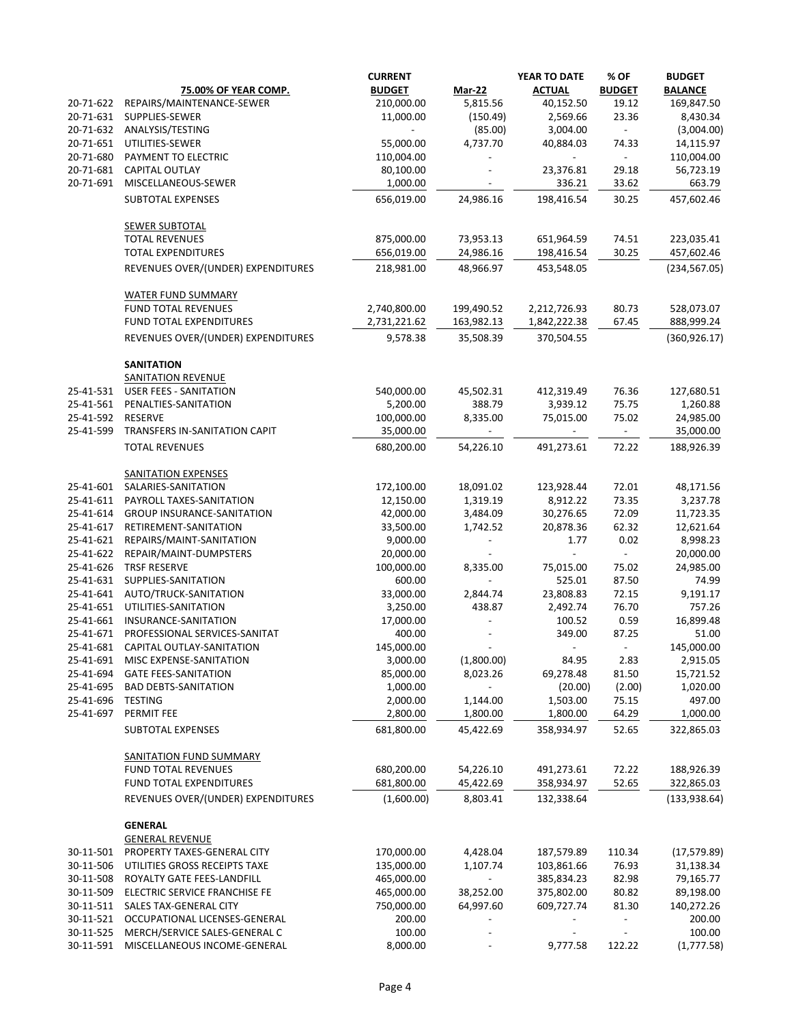|                        |                                                    | <b>CURRENT</b>           |            | YEAR TO DATE             | % OF                     | <b>BUDGET</b>         |
|------------------------|----------------------------------------------------|--------------------------|------------|--------------------------|--------------------------|-----------------------|
|                        | <b>75.00% OF YEAR COMP.</b>                        | <b>BUDGET</b>            | Mar-22     | <b>ACTUAL</b>            | <b>BUDGET</b>            | <b>BALANCE</b>        |
| 20-71-622              | REPAIRS/MAINTENANCE-SEWER                          | 210,000.00               | 5,815.56   | 40,152.50                | 19.12                    | 169,847.50            |
| 20-71-631              | SUPPLIES-SEWER                                     | 11,000.00                | (150.49)   | 2,569.66                 | 23.36                    | 8,430.34              |
| 20-71-632              | ANALYSIS/TESTING                                   | $\overline{\phantom{a}}$ | (85.00)    | 3,004.00                 | $\overline{\phantom{a}}$ | (3,004.00)            |
| 20-71-651              | UTILITIES-SEWER                                    | 55,000.00                | 4,737.70   | 40,884.03                | 74.33                    | 14,115.97             |
| 20-71-680              | PAYMENT TO ELECTRIC                                | 110,004.00               |            | $\overline{\phantom{a}}$ | $\overline{\phantom{a}}$ | 110,004.00            |
| 20-71-681              | <b>CAPITAL OUTLAY</b>                              | 80,100.00                |            | 23,376.81                | 29.18                    | 56,723.19             |
| 20-71-691              | MISCELLANEOUS-SEWER                                | 1,000.00                 |            | 336.21                   | 33.62                    | 663.79                |
|                        | <b>SUBTOTAL EXPENSES</b>                           | 656,019.00               | 24,986.16  | 198,416.54               | 30.25                    | 457,602.46            |
|                        | SEWER SUBTOTAL                                     |                          |            |                          |                          |                       |
|                        | <b>TOTAL REVENUES</b>                              | 875,000.00               | 73,953.13  | 651,964.59               | 74.51                    | 223,035.41            |
|                        | <b>TOTAL EXPENDITURES</b>                          | 656,019.00               | 24,986.16  | 198,416.54               | 30.25                    | 457,602.46            |
|                        | REVENUES OVER/(UNDER) EXPENDITURES                 | 218,981.00               | 48,966.97  | 453,548.05               |                          | (234, 567.05)         |
|                        | <b>WATER FUND SUMMARY</b>                          |                          |            |                          |                          |                       |
|                        | <b>FUND TOTAL REVENUES</b>                         | 2,740,800.00             | 199,490.52 | 2,212,726.93             | 80.73                    | 528,073.07            |
|                        | FUND TOTAL EXPENDITURES                            | 2,731,221.62             | 163,982.13 | 1,842,222.38             | 67.45                    | 888,999.24            |
|                        | REVENUES OVER/(UNDER) EXPENDITURES                 | 9,578.38                 | 35,508.39  | 370,504.55               |                          | (360, 926.17)         |
|                        | <b>SANITATION</b>                                  |                          |            |                          |                          |                       |
|                        | <b>SANITATION REVENUE</b>                          |                          |            |                          |                          |                       |
| 25-41-531              | <b>USER FEES - SANITATION</b>                      | 540,000.00               | 45,502.31  | 412,319.49               | 76.36                    | 127,680.51            |
| 25-41-561              | PENALTIES-SANITATION                               | 5,200.00                 | 388.79     | 3,939.12                 | 75.75                    | 1,260.88              |
| 25-41-592              | <b>RESERVE</b>                                     | 100,000.00               | 8,335.00   | 75,015.00                | 75.02                    | 24,985.00             |
| 25-41-599              | TRANSFERS IN-SANITATION CAPIT                      | 35,000.00                | $\sim$     |                          | $\sim$                   | 35,000.00             |
|                        | <b>TOTAL REVENUES</b>                              | 680,200.00               | 54,226.10  | 491,273.61               | 72.22                    | 188,926.39            |
|                        | <b>SANITATION EXPENSES</b>                         |                          |            |                          |                          |                       |
| 25-41-601              | SALARIES-SANITATION                                | 172,100.00               | 18,091.02  | 123,928.44               | 72.01                    | 48,171.56             |
| 25-41-611              | PAYROLL TAXES-SANITATION                           | 12,150.00                | 1,319.19   | 8,912.22                 | 73.35                    | 3,237.78              |
| 25-41-614<br>25-41-617 | <b>GROUP INSURANCE-SANITATION</b>                  | 42,000.00                | 3,484.09   | 30,276.65                | 72.09                    | 11,723.35             |
| 25-41-621              | RETIREMENT-SANITATION                              | 33,500.00<br>9,000.00    | 1,742.52   | 20,878.36<br>1.77        | 62.32<br>0.02            | 12,621.64<br>8,998.23 |
| 25-41-622              | REPAIRS/MAINT-SANITATION<br>REPAIR/MAINT-DUMPSTERS | 20,000.00                |            |                          |                          | 20,000.00             |
|                        | 25-41-626 TRSF RESERVE                             | 100,000.00               | 8,335.00   | 75,015.00                | 75.02                    | 24,985.00             |
| 25-41-631              | SUPPLIES-SANITATION                                | 600.00                   |            | 525.01                   | 87.50                    | 74.99                 |
| 25-41-641              | AUTO/TRUCK-SANITATION                              | 33,000.00                | 2,844.74   | 23,808.83                | 72.15                    | 9,191.17              |
| 25-41-651              | UTILITIES-SANITATION                               | 3,250.00                 | 438.87     | 2,492.74                 | 76.70                    | 757.26                |
| 25-41-661              | INSURANCE-SANITATION                               | 17,000.00                |            | 100.52                   | 0.59                     | 16,899.48             |
| 25-41-671              | PROFESSIONAL SERVICES-SANITAT                      | 400.00                   |            | 349.00                   | 87.25                    | 51.00                 |
| 25-41-681              | CAPITAL OUTLAY-SANITATION                          | 145,000.00               |            |                          |                          | 145,000.00            |
| 25-41-691              | MISC EXPENSE-SANITATION                            | 3,000.00                 | (1,800.00) | 84.95                    | 2.83                     | 2,915.05              |
| 25-41-694              | <b>GATE FEES-SANITATION</b>                        | 85,000.00                | 8,023.26   | 69,278.48                | 81.50                    | 15,721.52             |
| 25-41-695              | <b>BAD DEBTS-SANITATION</b>                        | 1,000.00                 |            | (20.00)                  | (2.00)                   | 1,020.00              |
| 25-41-696              | <b>TESTING</b>                                     | 2,000.00                 | 1,144.00   | 1,503.00                 | 75.15                    | 497.00                |
| 25-41-697              | PERMIT FEE                                         | 2,800.00                 | 1,800.00   | 1,800.00                 | 64.29                    | 1,000.00              |
|                        | SUBTOTAL EXPENSES                                  | 681,800.00               | 45,422.69  | 358,934.97               | 52.65                    | 322,865.03            |
|                        | <b>SANITATION FUND SUMMARY</b>                     |                          |            |                          |                          |                       |
|                        | <b>FUND TOTAL REVENUES</b>                         | 680,200.00               | 54,226.10  | 491,273.61               | 72.22                    | 188,926.39            |
|                        | FUND TOTAL EXPENDITURES                            | 681,800.00               | 45,422.69  | 358,934.97               | 52.65                    | 322,865.03            |
|                        | REVENUES OVER/(UNDER) EXPENDITURES                 | (1,600.00)               | 8,803.41   | 132,338.64               |                          | (133, 938.64)         |
|                        | <b>GENERAL</b>                                     |                          |            |                          |                          |                       |
|                        | <b>GENERAL REVENUE</b>                             |                          |            |                          |                          |                       |
| 30-11-501              | PROPERTY TAXES-GENERAL CITY                        | 170,000.00               | 4,428.04   | 187,579.89               | 110.34                   | (17, 579.89)          |
| 30-11-506              | UTILITIES GROSS RECEIPTS TAXE                      | 135,000.00               | 1,107.74   | 103,861.66               | 76.93                    | 31,138.34             |
| 30-11-508              | ROYALTY GATE FEES-LANDFILL                         | 465,000.00               |            | 385,834.23               | 82.98                    | 79,165.77             |
| 30-11-509              | ELECTRIC SERVICE FRANCHISE FE                      | 465,000.00               | 38,252.00  | 375,802.00               | 80.82                    | 89,198.00             |
| 30-11-511              | SALES TAX-GENERAL CITY                             | 750,000.00               | 64,997.60  | 609,727.74               | 81.30                    | 140,272.26            |
| 30-11-521              | OCCUPATIONAL LICENSES-GENERAL                      | 200.00                   |            |                          |                          | 200.00                |
| 30-11-525              | MERCH/SERVICE SALES-GENERAL C                      | 100.00                   |            |                          |                          | 100.00                |
| 30-11-591              | MISCELLANEOUS INCOME-GENERAL                       | 8,000.00                 |            | 9,777.58                 | 122.22                   | (1,777.58)            |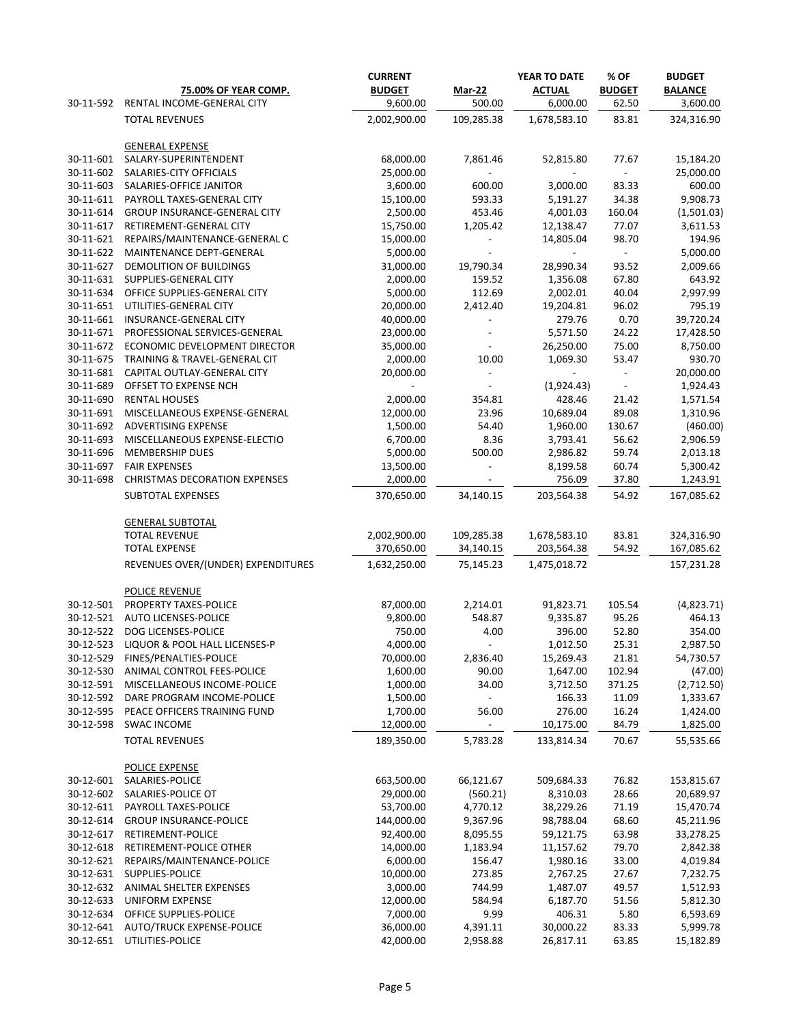|           |                                      | <b>CURRENT</b> |                          | YEAR TO DATE  | % OF                     | <b>BUDGET</b>  |
|-----------|--------------------------------------|----------------|--------------------------|---------------|--------------------------|----------------|
|           | <b>75.00% OF YEAR COMP.</b>          | <b>BUDGET</b>  | <b>Mar-22</b>            | <b>ACTUAL</b> | <b>BUDGET</b>            | <b>BALANCE</b> |
| 30-11-592 | RENTAL INCOME-GENERAL CITY           | 9,600.00       | 500.00                   | 6,000.00      | 62.50                    | 3,600.00       |
|           | <b>TOTAL REVENUES</b>                | 2,002,900.00   | 109,285.38               | 1,678,583.10  | 83.81                    | 324,316.90     |
|           | <b>GENERAL EXPENSE</b>               |                |                          |               |                          |                |
| 30-11-601 | SALARY-SUPERINTENDENT                | 68,000.00      | 7,861.46                 | 52,815.80     | 77.67                    | 15,184.20      |
| 30-11-602 | SALARIES-CITY OFFICIALS              | 25,000.00      | $\sim$                   |               | $\sim$                   | 25,000.00      |
| 30-11-603 | SALARIES-OFFICE JANITOR              | 3,600.00       | 600.00                   | 3,000.00      | 83.33                    | 600.00         |
| 30-11-611 | PAYROLL TAXES-GENERAL CITY           | 15,100.00      | 593.33                   | 5,191.27      | 34.38                    | 9,908.73       |
| 30-11-614 | GROUP INSURANCE-GENERAL CITY         | 2,500.00       | 453.46                   | 4,001.03      | 160.04                   | (1,501.03)     |
| 30-11-617 | RETIREMENT-GENERAL CITY              | 15,750.00      | 1,205.42                 | 12,138.47     | 77.07                    | 3,611.53       |
| 30-11-621 | REPAIRS/MAINTENANCE-GENERAL C        | 15,000.00      |                          | 14,805.04     | 98.70                    | 194.96         |
| 30-11-622 | MAINTENANCE DEPT-GENERAL             | 5,000.00       |                          |               | $\overline{\phantom{a}}$ | 5,000.00       |
| 30-11-627 | DEMOLITION OF BUILDINGS              | 31,000.00      | 19,790.34                | 28,990.34     | 93.52                    | 2,009.66       |
| 30-11-631 | SUPPLIES-GENERAL CITY                | 2,000.00       | 159.52                   | 1,356.08      | 67.80                    | 643.92         |
| 30-11-634 | OFFICE SUPPLIES-GENERAL CITY         | 5,000.00       | 112.69                   | 2,002.01      | 40.04                    | 2,997.99       |
| 30-11-651 | UTILITIES-GENERAL CITY               | 20,000.00      | 2,412.40                 | 19,204.81     | 96.02                    | 795.19         |
| 30-11-661 | INSURANCE-GENERAL CITY               | 40,000.00      |                          | 279.76        | 0.70                     | 39,720.24      |
| 30-11-671 | PROFESSIONAL SERVICES-GENERAL        | 23,000.00      |                          | 5,571.50      | 24.22                    | 17,428.50      |
| 30-11-672 | ECONOMIC DEVELOPMENT DIRECTOR        | 35,000.00      |                          | 26,250.00     | 75.00                    | 8,750.00       |
| 30-11-675 | TRAINING & TRAVEL-GENERAL CIT        | 2,000.00       | 10.00                    | 1,069.30      | 53.47                    | 930.70         |
| 30-11-681 | CAPITAL OUTLAY-GENERAL CITY          | 20,000.00      | $\overline{\phantom{a}}$ |               |                          | 20,000.00      |
| 30-11-689 | OFFSET TO EXPENSE NCH                |                | $\overline{\phantom{a}}$ | (1,924.43)    | $\blacksquare$           | 1,924.43       |
| 30-11-690 | <b>RENTAL HOUSES</b>                 | 2,000.00       | 354.81                   | 428.46        | 21.42                    | 1,571.54       |
| 30-11-691 | MISCELLANEOUS EXPENSE-GENERAL        | 12,000.00      | 23.96                    | 10,689.04     | 89.08                    | 1,310.96       |
| 30-11-692 | ADVERTISING EXPENSE                  | 1,500.00       | 54.40                    | 1,960.00      | 130.67                   | (460.00)       |
| 30-11-693 | MISCELLANEOUS EXPENSE-ELECTIO        | 6,700.00       | 8.36                     | 3,793.41      | 56.62                    | 2,906.59       |
| 30-11-696 | MEMBERSHIP DUES                      | 5,000.00       | 500.00                   | 2,986.82      | 59.74                    | 2,013.18       |
| 30-11-697 | <b>FAIR EXPENSES</b>                 | 13,500.00      | $\overline{\phantom{a}}$ | 8,199.58      | 60.74                    | 5,300.42       |
| 30-11-698 | <b>CHRISTMAS DECORATION EXPENSES</b> | 2,000.00       | $\overline{\phantom{a}}$ | 756.09        | 37.80                    | 1,243.91       |
|           | SUBTOTAL EXPENSES                    | 370,650.00     | 34,140.15                | 203,564.38    | 54.92                    | 167,085.62     |
|           | <b>GENERAL SUBTOTAL</b>              |                |                          |               |                          |                |
|           | <b>TOTAL REVENUE</b>                 | 2,002,900.00   | 109,285.38               | 1,678,583.10  | 83.81                    | 324,316.90     |
|           | <b>TOTAL EXPENSE</b>                 | 370,650.00     | 34,140.15                | 203,564.38    | 54.92                    | 167,085.62     |
|           | REVENUES OVER/(UNDER) EXPENDITURES   | 1,632,250.00   | 75,145.23                | 1,475,018.72  |                          | 157,231.28     |
|           | POLICE REVENUE                       |                |                          |               |                          |                |
| 30-12-501 | PROPERTY TAXES-POLICE                | 87,000.00      | 2,214.01                 | 91,823.71     | 105.54                   | (4,823.71)     |
| 30-12-521 | AUTO LICENSES-POLICE                 | 9,800.00       | 548.87                   | 9,335.87      | 95.26                    | 464.13         |
| 30-12-522 | DOG LICENSES-POLICE                  | 750.00         | 4.00                     | 396.00        | 52.80                    | 354.00         |
| 30-12-523 | LIQUOR & POOL HALL LICENSES-P        | 4,000.00       |                          | 1,012.50      | 25.31                    | 2,987.50       |
| 30-12-529 | FINES/PENALTIES-POLICE               | 70,000.00      | 2,836.40                 | 15,269.43     | 21.81                    | 54,730.57      |
| 30-12-530 | ANIMAL CONTROL FEES-POLICE           | 1,600.00       | 90.00                    | 1,647.00      | 102.94                   | (47.00)        |
| 30-12-591 | MISCELLANEOUS INCOME-POLICE          | 1,000.00       | 34.00                    | 3,712.50      | 371.25                   | (2,712.50)     |
| 30-12-592 | DARE PROGRAM INCOME-POLICE           | 1,500.00       | $\overline{\phantom{a}}$ | 166.33        | 11.09                    | 1,333.67       |
| 30-12-595 | PEACE OFFICERS TRAINING FUND         | 1,700.00       | 56.00                    | 276.00        | 16.24                    | 1,424.00       |
| 30-12-598 | <b>SWAC INCOME</b>                   | 12,000.00      |                          | 10,175.00     | 84.79                    | 1,825.00       |
|           | <b>TOTAL REVENUES</b>                | 189,350.00     | 5,783.28                 | 133,814.34    | 70.67                    | 55,535.66      |
|           | POLICE EXPENSE                       |                |                          |               |                          |                |
| 30-12-601 | SALARIES-POLICE                      | 663,500.00     | 66,121.67                | 509,684.33    | 76.82                    | 153,815.67     |
| 30-12-602 | SALARIES-POLICE OT                   | 29,000.00      | (560.21)                 | 8,310.03      | 28.66                    | 20,689.97      |
| 30-12-611 | PAYROLL TAXES-POLICE                 | 53,700.00      | 4,770.12                 | 38,229.26     | 71.19                    | 15,470.74      |
| 30-12-614 | <b>GROUP INSURANCE-POLICE</b>        | 144,000.00     | 9,367.96                 | 98,788.04     | 68.60                    | 45,211.96      |
| 30-12-617 | RETIREMENT-POLICE                    | 92,400.00      | 8,095.55                 | 59,121.75     | 63.98                    | 33,278.25      |
| 30-12-618 | RETIREMENT-POLICE OTHER              | 14,000.00      | 1,183.94                 | 11,157.62     | 79.70                    | 2,842.38       |
| 30-12-621 | REPAIRS/MAINTENANCE-POLICE           | 6,000.00       | 156.47                   | 1,980.16      | 33.00                    | 4,019.84       |
| 30-12-631 | SUPPLIES-POLICE                      | 10,000.00      | 273.85                   | 2,767.25      | 27.67                    | 7,232.75       |
| 30-12-632 | ANIMAL SHELTER EXPENSES              | 3,000.00       | 744.99                   | 1,487.07      | 49.57                    | 1,512.93       |
| 30-12-633 | <b>UNIFORM EXPENSE</b>               | 12,000.00      | 584.94                   | 6,187.70      | 51.56                    | 5,812.30       |
| 30-12-634 | OFFICE SUPPLIES-POLICE               | 7,000.00       | 9.99                     | 406.31        | 5.80                     | 6,593.69       |
| 30-12-641 | <b>AUTO/TRUCK EXPENSE-POLICE</b>     | 36,000.00      | 4,391.11                 | 30,000.22     | 83.33                    | 5,999.78       |
| 30-12-651 | UTILITIES-POLICE                     | 42,000.00      | 2,958.88                 | 26,817.11     | 63.85                    | 15,182.89      |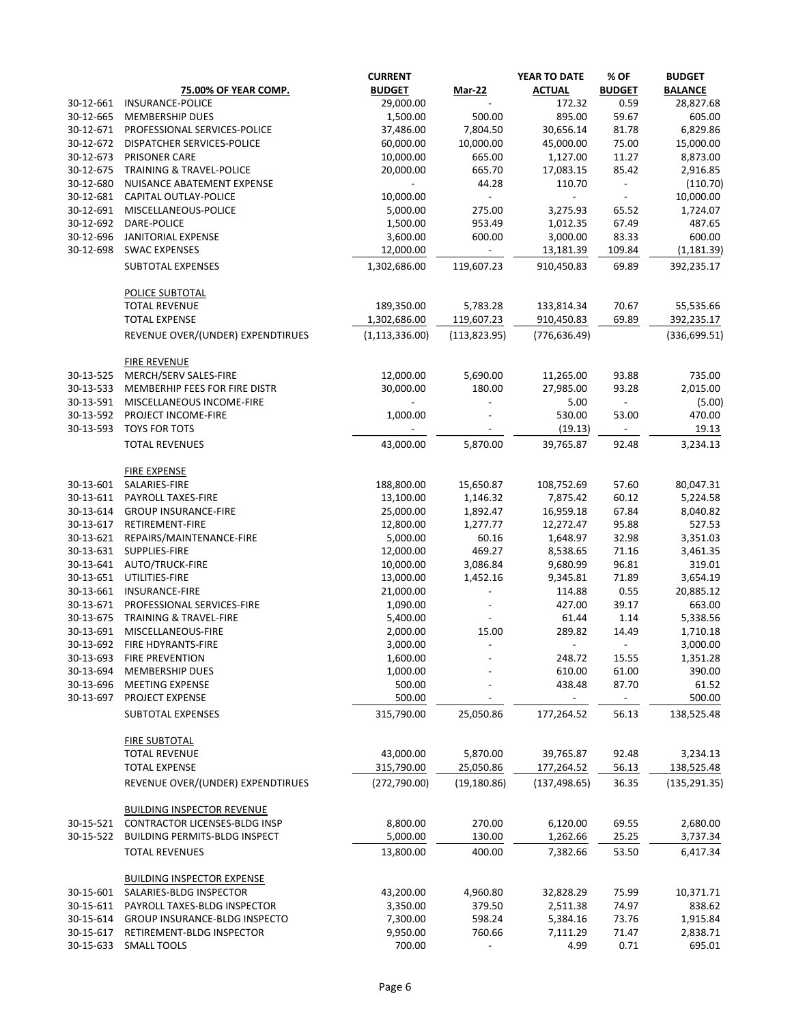|           |                                              | <b>CURRENT</b>   |                | YEAR TO DATE   | % OF                     | <b>BUDGET</b>  |
|-----------|----------------------------------------------|------------------|----------------|----------------|--------------------------|----------------|
|           | <b>75.00% OF YEAR COMP.</b>                  | <b>BUDGET</b>    | <b>Mar-22</b>  | <b>ACTUAL</b>  | <b>BUDGET</b>            | <b>BALANCE</b> |
| 30-12-661 | <b>INSURANCE-POLICE</b>                      | 29,000.00        |                | 172.32         | 0.59                     | 28,827.68      |
| 30-12-665 | MEMBERSHIP DUES                              | 1,500.00         | 500.00         | 895.00         | 59.67                    | 605.00         |
| 30-12-671 | PROFESSIONAL SERVICES-POLICE                 | 37,486.00        | 7,804.50       | 30,656.14      | 81.78                    | 6,829.86       |
| 30-12-672 | DISPATCHER SERVICES-POLICE                   | 60,000.00        | 10,000.00      | 45,000.00      | 75.00                    | 15,000.00      |
| 30-12-673 | PRISONER CARE                                | 10,000.00        | 665.00         | 1,127.00       | 11.27                    | 8,873.00       |
| 30-12-675 | <b>TRAINING &amp; TRAVEL-POLICE</b>          | 20,000.00        | 665.70         | 17,083.15      | 85.42                    | 2,916.85       |
|           |                                              |                  |                |                |                          |                |
| 30-12-680 | NUISANCE ABATEMENT EXPENSE                   |                  | 44.28          | 110.70         |                          | (110.70)       |
| 30-12-681 | CAPITAL OUTLAY-POLICE                        | 10,000.00        | $\blacksquare$ | $\blacksquare$ |                          | 10,000.00      |
| 30-12-691 | MISCELLANEOUS-POLICE                         | 5,000.00         | 275.00         | 3,275.93       | 65.52                    | 1,724.07       |
| 30-12-692 | DARE-POLICE                                  | 1,500.00         | 953.49         | 1,012.35       | 67.49                    | 487.65         |
| 30-12-696 | JANITORIAL EXPENSE                           | 3,600.00         | 600.00         | 3,000.00       | 83.33                    | 600.00         |
| 30-12-698 | <b>SWAC EXPENSES</b>                         | 12,000.00        |                | 13,181.39      | 109.84                   | (1, 181.39)    |
|           | SUBTOTAL EXPENSES                            | 1,302,686.00     | 119,607.23     | 910,450.83     | 69.89                    | 392,235.17     |
|           | <b>POLICE SUBTOTAL</b>                       |                  |                |                |                          |                |
|           | <b>TOTAL REVENUE</b>                         | 189,350.00       | 5,783.28       | 133,814.34     | 70.67                    | 55,535.66      |
|           | <b>TOTAL EXPENSE</b>                         | 1,302,686.00     | 119,607.23     | 910,450.83     | 69.89                    | 392,235.17     |
|           | REVENUE OVER/(UNDER) EXPENDTIRUES            | (1, 113, 336.00) | (113, 823.95)  | (776, 636.49)  |                          | (336, 699.51)  |
|           |                                              |                  |                |                |                          |                |
| 30-13-525 | <b>FIRE REVENUE</b><br>MERCH/SERV SALES-FIRE | 12,000.00        | 5,690.00       | 11,265.00      | 93.88                    | 735.00         |
| 30-13-533 | MEMBERHIP FEES FOR FIRE DISTR                | 30,000.00        | 180.00         | 27,985.00      | 93.28                    | 2,015.00       |
| 30-13-591 | MISCELLANEOUS INCOME-FIRE                    |                  |                | 5.00           | $\blacksquare$           | (5.00)         |
|           |                                              |                  |                |                |                          |                |
| 30-13-592 | PROJECT INCOME-FIRE                          | 1,000.00         |                | 530.00         | 53.00                    | 470.00         |
| 30-13-593 | <b>TOYS FOR TOTS</b>                         |                  |                | (19.13)        | $\overline{\phantom{a}}$ | 19.13          |
|           | <b>TOTAL REVENUES</b>                        | 43,000.00        | 5,870.00       | 39,765.87      | 92.48                    | 3,234.13       |
|           | <b>FIRE EXPENSE</b>                          |                  |                |                |                          |                |
| 30-13-601 | SALARIES-FIRE                                | 188,800.00       | 15,650.87      | 108,752.69     | 57.60                    | 80,047.31      |
| 30-13-611 | PAYROLL TAXES-FIRE                           | 13,100.00        | 1,146.32       | 7,875.42       | 60.12                    | 5,224.58       |
| 30-13-614 | <b>GROUP INSURANCE-FIRE</b>                  | 25,000.00        | 1,892.47       | 16,959.18      | 67.84                    | 8,040.82       |
| 30-13-617 | RETIREMENT-FIRE                              | 12,800.00        | 1,277.77       | 12,272.47      | 95.88                    | 527.53         |
| 30-13-621 | REPAIRS/MAINTENANCE-FIRE                     | 5,000.00         | 60.16          | 1,648.97       | 32.98                    | 3,351.03       |
| 30-13-631 | SUPPLIES-FIRE                                | 12,000.00        | 469.27         | 8,538.65       | 71.16                    | 3,461.35       |
|           | 30-13-641 AUTO/TRUCK-FIRE                    | 10,000.00        | 3,086.84       | 9,680.99       | 96.81                    | 319.01         |
|           | 30-13-651 UTILITIES-FIRE                     | 13,000.00        | 1,452.16       | 9,345.81       | 71.89                    | 3,654.19       |
| 30-13-661 | INSURANCE-FIRE                               | 21,000.00        |                | 114.88         | 0.55                     | 20,885.12      |
| 30-13-671 | PROFESSIONAL SERVICES-FIRE                   | 1,090.00         |                | 427.00         | 39.17                    | 663.00         |
|           |                                              |                  |                |                |                          |                |
| 30-13-675 | <b>TRAINING &amp; TRAVEL-FIRE</b>            | 5,400.00         |                | 61.44          | 1.14                     | 5,338.56       |
| 30-13-691 | MISCELLANEOUS-FIRE                           | 2,000.00         | 15.00          | 289.82         | 14.49                    | 1,710.18       |
| 30-13-692 | FIRE HDYRANTS-FIRE                           | 3,000.00         |                | $\sim$         | $\sim$                   | 3,000.00       |
| 30-13-693 | <b>FIRE PREVENTION</b>                       | 1,600.00         |                | 248.72         | 15.55                    | 1,351.28       |
| 30-13-694 | <b>MEMBERSHIP DUES</b>                       | 1,000.00         |                | 610.00         | 61.00                    | 390.00         |
| 30-13-696 | <b>MEETING EXPENSE</b>                       | 500.00           |                | 438.48         | 87.70                    | 61.52          |
| 30-13-697 | PROJECT EXPENSE                              | 500.00           |                |                | $\blacksquare$           | 500.00         |
|           | SUBTOTAL EXPENSES                            | 315,790.00       | 25,050.86      | 177,264.52     | 56.13                    | 138,525.48     |
|           | <b>FIRE SUBTOTAL</b>                         |                  |                |                |                          |                |
|           | <b>TOTAL REVENUE</b>                         | 43,000.00        | 5,870.00       | 39,765.87      | 92.48                    | 3,234.13       |
|           | <b>TOTAL EXPENSE</b>                         | 315,790.00       | 25,050.86      | 177,264.52     | 56.13                    | 138,525.48     |
|           | REVENUE OVER/(UNDER) EXPENDTIRUES            | (272, 790.00)    | (19, 180.86)   | (137, 498.65)  | 36.35                    | (135, 291.35)  |
|           | <b>BUILDING INSPECTOR REVENUE</b>            |                  |                |                |                          |                |
| 30-15-521 | CONTRACTOR LICENSES-BLDG INSP                | 8,800.00         | 270.00         | 6,120.00       | 69.55                    | 2,680.00       |
| 30-15-522 | <b>BUILDING PERMITS-BLDG INSPECT</b>         | 5,000.00         | 130.00         | 1,262.66       | 25.25                    | 3,737.34       |
|           |                                              |                  |                |                |                          |                |
|           | <b>TOTAL REVENUES</b>                        | 13,800.00        | 400.00         | 7,382.66       | 53.50                    | 6,417.34       |
|           | <b>BUILDING INSPECTOR EXPENSE</b>            |                  |                |                |                          |                |
| 30-15-601 | SALARIES-BLDG INSPECTOR                      | 43,200.00        | 4,960.80       | 32,828.29      | 75.99                    | 10,371.71      |
| 30-15-611 | PAYROLL TAXES-BLDG INSPECTOR                 | 3,350.00         | 379.50         | 2,511.38       | 74.97                    | 838.62         |
| 30-15-614 | GROUP INSURANCE-BLDG INSPECTO                | 7,300.00         | 598.24         | 5,384.16       | 73.76                    | 1,915.84       |
| 30-15-617 | RETIREMENT-BLDG INSPECTOR                    | 9,950.00         | 760.66         | 7,111.29       | 71.47                    | 2,838.71       |
| 30-15-633 | <b>SMALL TOOLS</b>                           | 700.00           |                | 4.99           | 0.71                     | 695.01         |
|           |                                              |                  |                |                |                          |                |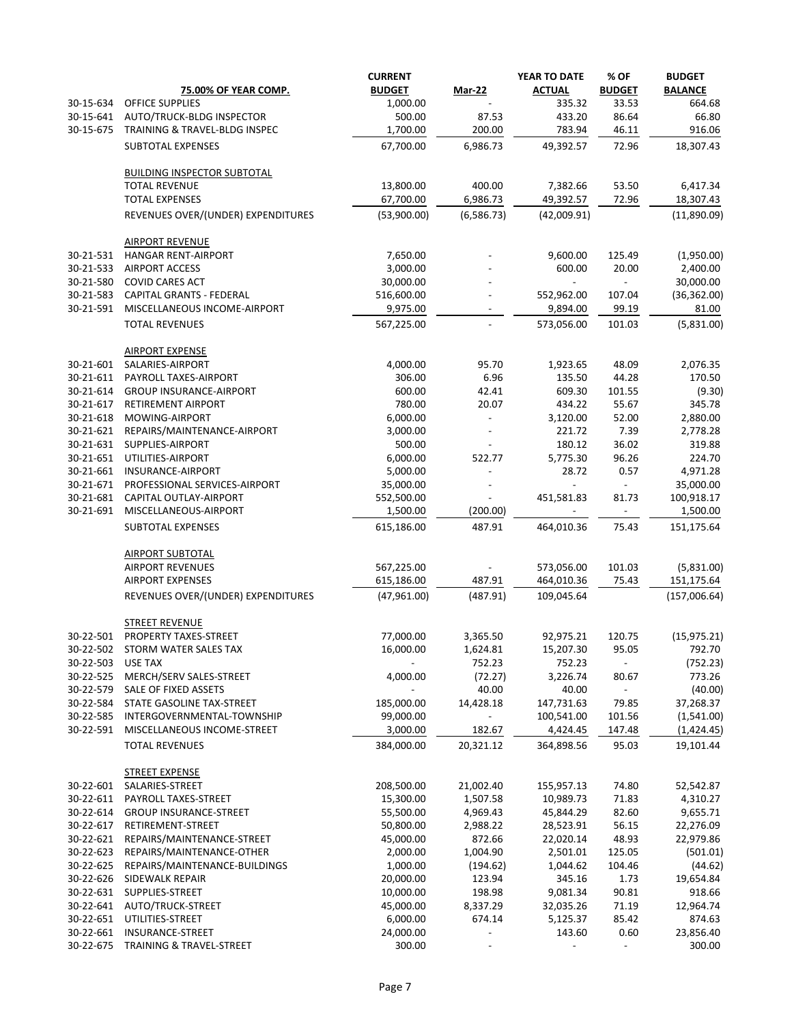|           |                                     | <b>CURRENT</b>           |                          | YEAR TO DATE  | % OF                     | <b>BUDGET</b>  |
|-----------|-------------------------------------|--------------------------|--------------------------|---------------|--------------------------|----------------|
|           | <b>75.00% OF YEAR COMP.</b>         | <b>BUDGET</b>            | <b>Mar-22</b>            | <b>ACTUAL</b> | <b>BUDGET</b>            | <b>BALANCE</b> |
| 30-15-634 | <b>OFFICE SUPPLIES</b>              | 1,000.00                 |                          | 335.32        | 33.53                    | 664.68         |
| 30-15-641 | AUTO/TRUCK-BLDG INSPECTOR           | 500.00                   | 87.53                    | 433.20        | 86.64                    | 66.80          |
| 30-15-675 | TRAINING & TRAVEL-BLDG INSPEC       | 1,700.00                 | 200.00                   | 783.94        | 46.11                    | 916.06         |
|           | SUBTOTAL EXPENSES                   | 67,700.00                | 6,986.73                 | 49,392.57     | 72.96                    | 18,307.43      |
|           | <b>BUILDING INSPECTOR SUBTOTAL</b>  |                          |                          |               |                          |                |
|           | <b>TOTAL REVENUE</b>                | 13,800.00                | 400.00                   | 7,382.66      | 53.50                    | 6,417.34       |
|           | <b>TOTAL EXPENSES</b>               | 67,700.00                | 6,986.73                 | 49,392.57     | 72.96                    | 18,307.43      |
|           | REVENUES OVER/(UNDER) EXPENDITURES  | (53,900.00)              | (6,586.73)               | (42,009.91)   |                          | (11,890.09)    |
|           | <b>AIRPORT REVENUE</b>              |                          |                          |               |                          |                |
| 30-21-531 | <b>HANGAR RENT-AIRPORT</b>          | 7,650.00                 |                          | 9,600.00      | 125.49                   | (1,950.00)     |
| 30-21-533 | <b>AIRPORT ACCESS</b>               | 3,000.00                 |                          | 600.00        | 20.00                    | 2,400.00       |
| 30-21-580 | <b>COVID CARES ACT</b>              | 30,000.00                |                          |               |                          | 30,000.00      |
| 30-21-583 | <b>CAPITAL GRANTS - FEDERAL</b>     | 516,600.00               |                          | 552,962.00    | 107.04                   | (36, 362.00)   |
| 30-21-591 | MISCELLANEOUS INCOME-AIRPORT        | 9,975.00                 |                          | 9,894.00      | 99.19                    | 81.00          |
|           | <b>TOTAL REVENUES</b>               | 567,225.00               |                          | 573,056.00    | 101.03                   | (5,831.00)     |
|           | <b>AIRPORT EXPENSE</b>              |                          |                          |               |                          |                |
| 30-21-601 | SALARIES-AIRPORT                    | 4,000.00                 | 95.70                    | 1,923.65      | 48.09                    | 2,076.35       |
| 30-21-611 | PAYROLL TAXES-AIRPORT               | 306.00                   | 6.96                     | 135.50        | 44.28                    | 170.50         |
| 30-21-614 | <b>GROUP INSURANCE-AIRPORT</b>      | 600.00                   | 42.41                    | 609.30        | 101.55                   | (9.30)         |
| 30-21-617 | RETIREMENT AIRPORT                  | 780.00                   | 20.07                    | 434.22        | 55.67                    | 345.78         |
| 30-21-618 | MOWING-AIRPORT                      | 6,000.00                 |                          | 3,120.00      | 52.00                    | 2,880.00       |
| 30-21-621 | REPAIRS/MAINTENANCE-AIRPORT         | 3,000.00                 |                          | 221.72        | 7.39                     | 2,778.28       |
| 30-21-631 | SUPPLIES-AIRPORT                    | 500.00                   |                          | 180.12        | 36.02                    | 319.88         |
| 30-21-651 | UTILITIES-AIRPORT                   | 6,000.00                 | 522.77                   | 5,775.30      | 96.26                    | 224.70         |
| 30-21-661 | INSURANCE-AIRPORT                   | 5,000.00                 |                          | 28.72         | 0.57                     | 4,971.28       |
| 30-21-671 | PROFESSIONAL SERVICES-AIRPORT       | 35,000.00                |                          |               |                          | 35,000.00      |
| 30-21-681 | CAPITAL OUTLAY-AIRPORT              | 552,500.00               | $\overline{\phantom{a}}$ | 451,581.83    | 81.73                    | 100,918.17     |
| 30-21-691 | MISCELLANEOUS-AIRPORT               | 1,500.00                 | (200.00)                 |               | $\sim$                   | 1,500.00       |
|           | SUBTOTAL EXPENSES                   | 615,186.00               | 487.91                   | 464,010.36    | 75.43                    | 151,175.64     |
|           | <b>AIRPORT SUBTOTAL</b>             |                          |                          |               |                          |                |
|           | <b>AIRPORT REVENUES</b>             | 567,225.00               |                          | 573,056.00    | 101.03                   | (5,831.00)     |
|           | <b>AIRPORT EXPENSES</b>             | 615,186.00               | 487.91                   | 464,010.36    | 75.43                    | 151,175.64     |
|           | REVENUES OVER/(UNDER) EXPENDITURES  | (47,961.00)              | (487.91)                 | 109,045.64    |                          | (157,006.64)   |
|           | <b>STREET REVENUE</b>               |                          |                          |               |                          |                |
| 30-22-501 | PROPERTY TAXES-STREET               | 77,000.00                | 3,365.50                 | 92,975.21     | 120.75                   | (15, 975.21)   |
| 30-22-502 | STORM WATER SALES TAX               | 16,000.00                | 1,624.81                 | 15,207.30     | 95.05                    | 792.70         |
| 30-22-503 | <b>USE TAX</b>                      |                          | 752.23                   | 752.23        | $\overline{\phantom{a}}$ | (752.23)       |
| 30-22-525 | MERCH/SERV SALES-STREET             | 4,000.00                 | (72.27)                  | 3,226.74      | 80.67                    | 773.26         |
| 30-22-579 | SALE OF FIXED ASSETS                | $\overline{\phantom{0}}$ | 40.00                    | 40.00         | $\blacksquare$           | (40.00)        |
| 30-22-584 | STATE GASOLINE TAX-STREET           | 185,000.00               | 14,428.18                | 147,731.63    | 79.85                    | 37,268.37      |
| 30-22-585 | INTERGOVERNMENTAL-TOWNSHIP          | 99,000.00                | $\overline{\phantom{a}}$ | 100,541.00    | 101.56                   | (1,541.00)     |
| 30-22-591 | MISCELLANEOUS INCOME-STREET         | 3,000.00                 | 182.67                   | 4,424.45      | 147.48                   | (1,424.45)     |
|           | <b>TOTAL REVENUES</b>               | 384,000.00               | 20,321.12                | 364,898.56    | 95.03                    | 19,101.44      |
|           | <b>STREET EXPENSE</b>               |                          |                          |               |                          |                |
| 30-22-601 | SALARIES-STREET                     | 208,500.00               | 21,002.40                | 155,957.13    | 74.80                    | 52,542.87      |
| 30-22-611 | PAYROLL TAXES-STREET                | 15,300.00                | 1,507.58                 | 10,989.73     | 71.83                    | 4,310.27       |
| 30-22-614 | <b>GROUP INSURANCE-STREET</b>       | 55,500.00                | 4,969.43                 | 45,844.29     | 82.60                    | 9,655.71       |
| 30-22-617 | RETIREMENT-STREET                   | 50,800.00                | 2,988.22                 | 28,523.91     | 56.15                    | 22,276.09      |
| 30-22-621 | REPAIRS/MAINTENANCE-STREET          | 45,000.00                | 872.66                   | 22,020.14     | 48.93                    | 22,979.86      |
| 30-22-623 | REPAIRS/MAINTENANCE-OTHER           | 2,000.00                 | 1,004.90                 | 2,501.01      | 125.05                   | (501.01)       |
| 30-22-625 | REPAIRS/MAINTENANCE-BUILDINGS       | 1,000.00                 | (194.62)                 | 1,044.62      | 104.46                   | (44.62)        |
| 30-22-626 | SIDEWALK REPAIR                     | 20,000.00                | 123.94                   | 345.16        | 1.73                     | 19,654.84      |
| 30-22-631 | SUPPLIES-STREET                     | 10,000.00                | 198.98                   | 9,081.34      | 90.81                    | 918.66         |
| 30-22-641 | AUTO/TRUCK-STREET                   | 45,000.00                | 8,337.29                 | 32,035.26     | 71.19                    | 12,964.74      |
| 30-22-651 | UTILITIES-STREET                    | 6,000.00                 | 674.14                   | 5,125.37      | 85.42                    | 874.63         |
| 30-22-661 | INSURANCE-STREET                    | 24,000.00                |                          | 143.60        | 0.60                     | 23,856.40      |
| 30-22-675 | <b>TRAINING &amp; TRAVEL-STREET</b> | 300.00                   | $\overline{\phantom{a}}$ |               | $\overline{\phantom{a}}$ | 300.00         |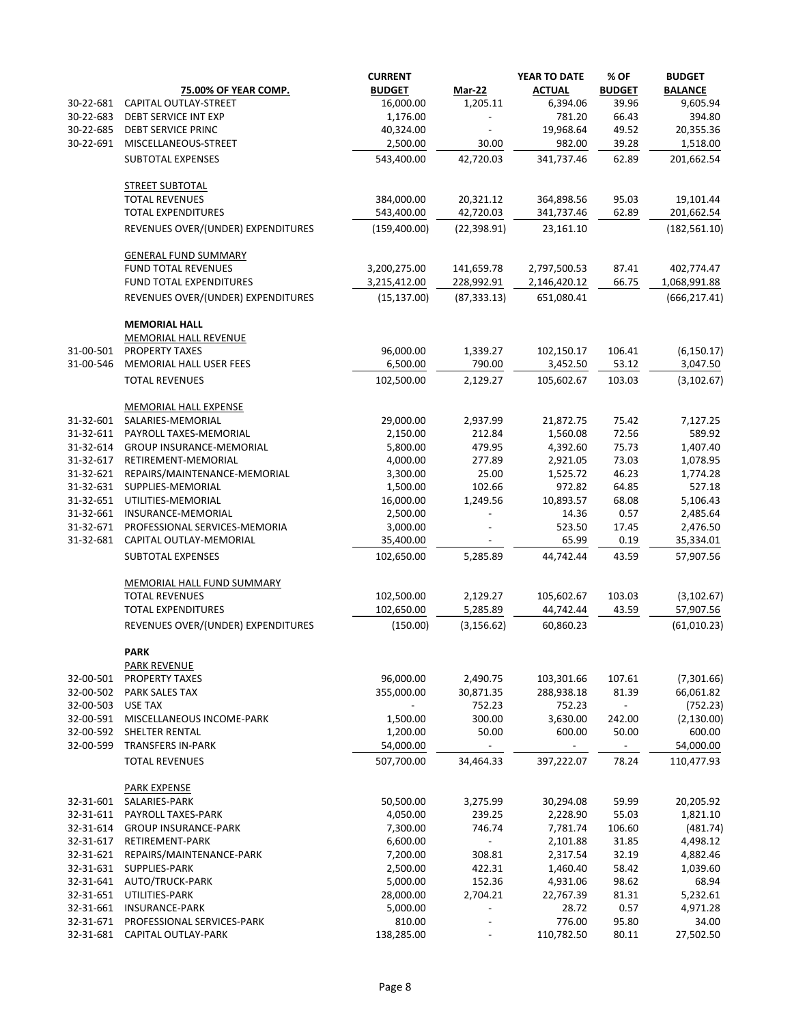|                        |                                            | <b>CURRENT</b>        |                          | YEAR TO DATE  | % OF           | <b>BUDGET</b>       |
|------------------------|--------------------------------------------|-----------------------|--------------------------|---------------|----------------|---------------------|
|                        | <b>75.00% OF YEAR COMP.</b>                | <b>BUDGET</b>         | <b>Mar-22</b>            | <b>ACTUAL</b> | <b>BUDGET</b>  | <b>BALANCE</b>      |
| 30-22-681              | CAPITAL OUTLAY-STREET                      | 16,000.00             | 1,205.11                 | 6,394.06      | 39.96          | 9,605.94            |
| 30-22-683              | DEBT SERVICE INT EXP                       | 1,176.00              |                          | 781.20        | 66.43          | 394.80              |
| 30-22-685              | <b>DEBT SERVICE PRINC</b>                  | 40,324.00             |                          | 19,968.64     | 49.52          | 20,355.36           |
| 30-22-691              | MISCELLANEOUS-STREET                       | 2,500.00              | 30.00                    | 982.00        | 39.28          | 1,518.00            |
|                        | <b>SUBTOTAL EXPENSES</b>                   | 543,400.00            | 42,720.03                | 341,737.46    | 62.89          | 201,662.54          |
|                        | <b>STREET SUBTOTAL</b>                     |                       |                          |               |                |                     |
|                        | <b>TOTAL REVENUES</b>                      | 384,000.00            | 20,321.12                | 364,898.56    | 95.03          | 19,101.44           |
|                        | <b>TOTAL EXPENDITURES</b>                  | 543,400.00            | 42,720.03                | 341,737.46    | 62.89          | 201,662.54          |
|                        | REVENUES OVER/(UNDER) EXPENDITURES         | (159, 400.00)         | (22, 398.91)             | 23,161.10     |                | (182, 561.10)       |
|                        | <b>GENERAL FUND SUMMARY</b>                |                       |                          |               |                |                     |
|                        | <b>FUND TOTAL REVENUES</b>                 | 3,200,275.00          | 141,659.78               | 2,797,500.53  | 87.41          | 402,774.47          |
|                        | <b>FUND TOTAL EXPENDITURES</b>             | 3,215,412.00          | 228,992.91               | 2,146,420.12  | 66.75          | 1,068,991.88        |
|                        | REVENUES OVER/(UNDER) EXPENDITURES         | (15, 137.00)          | (87, 333.13)             | 651,080.41    |                | (666, 217.41)       |
|                        | <b>MEMORIAL HALL</b>                       |                       |                          |               |                |                     |
|                        | <b>MEMORIAL HALL REVENUE</b>               |                       |                          |               |                |                     |
| 31-00-501              | PROPERTY TAXES                             | 96,000.00             | 1,339.27                 | 102,150.17    | 106.41         | (6, 150.17)         |
| 31-00-546              | MEMORIAL HALL USER FEES                    | 6,500.00              | 790.00                   | 3,452.50      | 53.12          | 3,047.50            |
|                        | <b>TOTAL REVENUES</b>                      | 102,500.00            | 2,129.27                 | 105,602.67    | 103.03         | (3, 102.67)         |
|                        | <b>MEMORIAL HALL EXPENSE</b>               |                       |                          |               |                |                     |
| 31-32-601              | SALARIES-MEMORIAL                          | 29,000.00             | 2,937.99                 | 21,872.75     | 75.42          | 7,127.25            |
| 31-32-611              | PAYROLL TAXES-MEMORIAL                     | 2,150.00              | 212.84                   | 1,560.08      | 72.56          | 589.92              |
| 31-32-614              | <b>GROUP INSURANCE-MEMORIAL</b>            | 5,800.00              | 479.95                   | 4,392.60      | 75.73          | 1,407.40            |
| 31-32-617              | RETIREMENT-MEMORIAL                        | 4,000.00              | 277.89                   | 2,921.05      | 73.03          | 1,078.95            |
| 31-32-621              | REPAIRS/MAINTENANCE-MEMORIAL               | 3,300.00              | 25.00                    | 1,525.72      | 46.23          | 1,774.28            |
| 31-32-631              | SUPPLIES-MEMORIAL                          | 1,500.00              | 102.66                   | 972.82        | 64.85          | 527.18              |
| 31-32-651              | UTILITIES-MEMORIAL                         | 16,000.00             | 1,249.56                 | 10,893.57     | 68.08          | 5,106.43            |
| 31-32-661              | INSURANCE-MEMORIAL                         | 2,500.00              |                          | 14.36         | 0.57           | 2,485.64            |
| 31-32-671              | PROFESSIONAL SERVICES-MEMORIA              | 3,000.00              |                          | 523.50        | 17.45          | 2,476.50            |
| 31-32-681              | CAPITAL OUTLAY-MEMORIAL                    | 35,400.00             |                          | 65.99         | 0.19           | 35,334.01           |
|                        | <b>SUBTOTAL EXPENSES</b>                   | 102,650.00            | 5,285.89                 | 44,742.44     | 43.59          | 57,907.56           |
|                        | <b>MEMORIAL HALL FUND SUMMARY</b>          |                       |                          |               |                |                     |
|                        | <b>TOTAL REVENUES</b>                      | 102,500.00            | 2,129.27                 | 105,602.67    | 103.03         | (3, 102.67)         |
|                        | <b>TOTAL EXPENDITURES</b>                  | 102,650.00            | 5,285.89                 | 44,742.44     | 43.59          | 57,907.56           |
|                        | REVENUES OVER/(UNDER) EXPENDITURES         | (150.00)              | (3, 156.62)              | 60,860.23     |                | (61,010.23)         |
|                        | <b>PARK</b>                                |                       |                          |               |                |                     |
|                        | PARK REVENUE                               |                       |                          |               |                |                     |
| 32-00-501              | <b>PROPERTY TAXES</b>                      | 96,000.00             | 2,490.75                 | 103,301.66    | 107.61         | (7,301.66)          |
| 32-00-502              | <b>PARK SALES TAX</b>                      | 355,000.00            | 30,871.35                | 288,938.18    | 81.39          | 66,061.82           |
| 32-00-503              | <b>USE TAX</b>                             |                       | 752.23                   | 752.23        | $\blacksquare$ | (752.23)            |
| 32-00-591              | MISCELLANEOUS INCOME-PARK                  | 1,500.00              | 300.00                   | 3,630.00      | 242.00         | (2, 130.00)         |
| 32-00-592<br>32-00-599 | SHELTER RENTAL<br><b>TRANSFERS IN-PARK</b> | 1,200.00<br>54,000.00 | 50.00                    | 600.00        | 50.00          | 600.00<br>54,000.00 |
|                        | <b>TOTAL REVENUES</b>                      | 507,700.00            | 34,464.33                | 397,222.07    | 78.24          | 110,477.93          |
|                        | <b>PARK EXPENSE</b>                        |                       |                          |               |                |                     |
| 32-31-601              | SALARIES-PARK                              | 50,500.00             | 3,275.99                 | 30,294.08     | 59.99          | 20,205.92           |
| 32-31-611              | PAYROLL TAXES-PARK                         | 4,050.00              | 239.25                   | 2,228.90      | 55.03          | 1,821.10            |
| 32-31-614              | <b>GROUP INSURANCE-PARK</b>                | 7,300.00              | 746.74                   | 7,781.74      | 106.60         | (481.74)            |
| 32-31-617              | RETIREMENT-PARK                            | 6,600.00              |                          | 2,101.88      | 31.85          | 4,498.12            |
| 32-31-621              | REPAIRS/MAINTENANCE-PARK                   | 7,200.00              | 308.81                   | 2,317.54      | 32.19          | 4,882.46            |
| 32-31-631              | SUPPLIES-PARK                              | 2,500.00              | 422.31                   | 1,460.40      | 58.42          | 1,039.60            |
| 32-31-641              | AUTO/TRUCK-PARK                            | 5,000.00              | 152.36                   | 4,931.06      | 98.62          | 68.94               |
| 32-31-651              | UTILITIES-PARK                             | 28,000.00             | 2,704.21                 | 22,767.39     | 81.31          | 5,232.61            |
| 32-31-661              | <b>INSURANCE-PARK</b>                      | 5,000.00              | $\overline{\phantom{0}}$ | 28.72         | 0.57           | 4,971.28            |
| 32-31-671              | PROFESSIONAL SERVICES-PARK                 | 810.00                |                          | 776.00        | 95.80          | 34.00               |
| 32-31-681              | CAPITAL OUTLAY-PARK                        | 138,285.00            | $\overline{\phantom{a}}$ | 110,782.50    | 80.11          | 27,502.50           |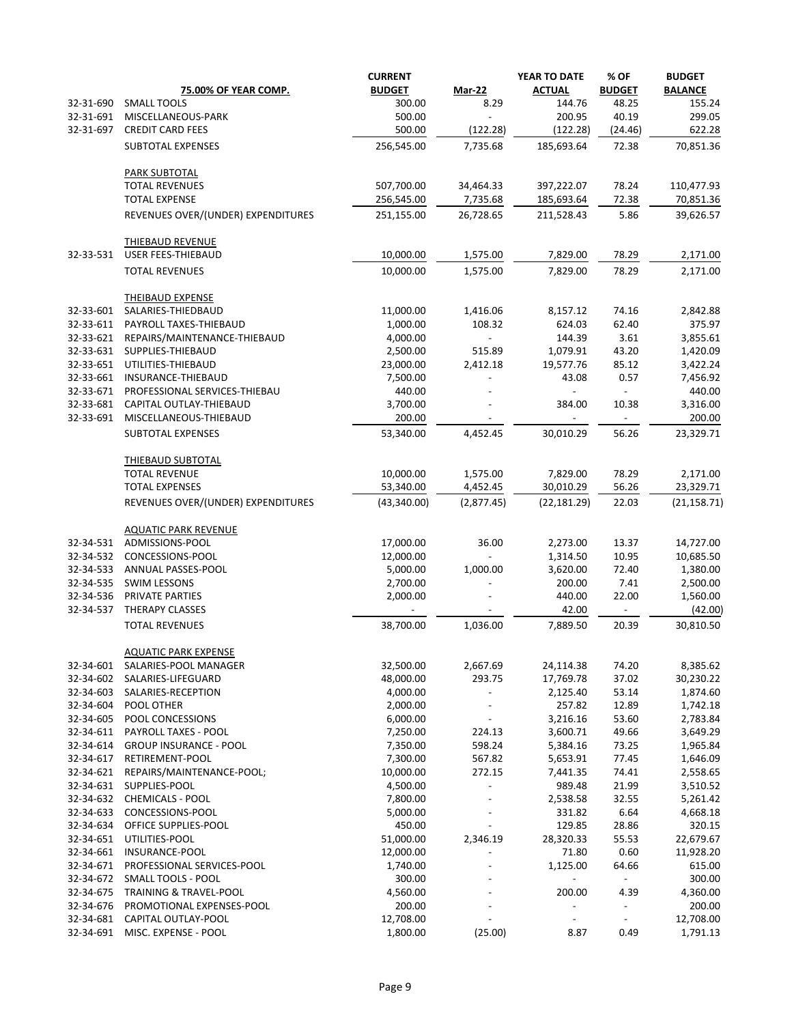|                        | <b>75.00% OF YEAR COMP.</b>                      | <b>CURRENT</b><br><b>BUDGET</b> | <b>Mar-22</b>            | YEAR TO DATE<br><b>ACTUAL</b> | % OF<br><b>BUDGET</b>    | <b>BUDGET</b><br><b>BALANCE</b> |
|------------------------|--------------------------------------------------|---------------------------------|--------------------------|-------------------------------|--------------------------|---------------------------------|
| 32-31-690              | <b>SMALL TOOLS</b>                               | 300.00                          | 8.29                     | 144.76                        | 48.25                    | 155.24                          |
| 32-31-691              | MISCELLANEOUS-PARK                               | 500.00                          | $\overline{\phantom{a}}$ | 200.95                        | 40.19                    | 299.05                          |
| 32-31-697              | <b>CREDIT CARD FEES</b>                          | 500.00                          | (122.28)                 | (122.28)                      | (24.46)                  | 622.28                          |
|                        | SUBTOTAL EXPENSES                                | 256,545.00                      | 7,735.68                 | 185,693.64                    | 72.38                    | 70,851.36                       |
|                        | <b>PARK SUBTOTAL</b>                             |                                 |                          |                               |                          |                                 |
|                        | <b>TOTAL REVENUES</b>                            | 507,700.00                      | 34,464.33                | 397,222.07                    | 78.24                    | 110,477.93                      |
|                        | <b>TOTAL EXPENSE</b>                             | 256,545.00                      | 7,735.68                 | 185,693.64                    | 72.38                    | 70,851.36                       |
|                        | REVENUES OVER/(UNDER) EXPENDITURES               | 251,155.00                      | 26,728.65                | 211,528.43                    | 5.86                     | 39,626.57                       |
|                        | <b>THIEBAUD REVENUE</b>                          |                                 |                          |                               |                          |                                 |
| 32-33-531              | <b>USER FEES-THIEBAUD</b>                        | 10,000.00                       | 1,575.00                 | 7,829.00                      | 78.29                    | 2,171.00                        |
|                        | <b>TOTAL REVENUES</b>                            | 10,000.00                       | 1,575.00                 | 7,829.00                      | 78.29                    | 2,171.00                        |
|                        | <b>THEIBAUD EXPENSE</b>                          |                                 |                          |                               |                          |                                 |
| 32-33-601              | SALARIES-THIEDBAUD                               | 11,000.00                       | 1,416.06                 | 8,157.12                      | 74.16                    | 2,842.88                        |
| 32-33-611              | PAYROLL TAXES-THIEBAUD                           | 1,000.00                        | 108.32                   | 624.03                        | 62.40                    | 375.97                          |
| 32-33-621              | REPAIRS/MAINTENANCE-THIEBAUD                     | 4,000.00                        |                          | 144.39                        | 3.61                     | 3,855.61                        |
| 32-33-631              | SUPPLIES-THIEBAUD                                | 2,500.00                        | 515.89                   | 1,079.91                      | 43.20                    | 1,420.09                        |
| 32-33-651              | UTILITIES-THIEBAUD                               | 23,000.00                       | 2,412.18                 | 19,577.76                     | 85.12                    | 3,422.24                        |
| 32-33-661              | INSURANCE-THIEBAUD                               | 7,500.00                        |                          | 43.08                         | 0.57                     | 7,456.92                        |
| 32-33-671              | PROFESSIONAL SERVICES-THIEBAU                    | 440.00                          |                          |                               |                          | 440.00                          |
| 32-33-681              | CAPITAL OUTLAY-THIEBAUD                          | 3,700.00                        |                          | 384.00                        | 10.38                    | 3,316.00                        |
| 32-33-691              | MISCELLANEOUS-THIEBAUD                           | 200.00                          |                          |                               | $\overline{\phantom{a}}$ | 200.00                          |
|                        | <b>SUBTOTAL EXPENSES</b>                         | 53,340.00                       | 4,452.45                 | 30,010.29                     | 56.26                    | 23,329.71                       |
|                        | <b>THIEBAUD SUBTOTAL</b>                         |                                 |                          |                               |                          |                                 |
|                        | <b>TOTAL REVENUE</b>                             | 10,000.00                       | 1,575.00                 | 7,829.00                      | 78.29                    | 2,171.00                        |
|                        | <b>TOTAL EXPENSES</b>                            | 53,340.00                       | 4,452.45                 | 30,010.29                     | 56.26                    | 23,329.71                       |
|                        | REVENUES OVER/(UNDER) EXPENDITURES               | (43,340.00)                     | (2,877.45)               | (22, 181.29)                  | 22.03                    | (21, 158.71)                    |
|                        | <b>AQUATIC PARK REVENUE</b>                      |                                 |                          |                               |                          |                                 |
| 32-34-531              | ADMISSIONS-POOL                                  | 17,000.00                       | 36.00                    | 2,273.00                      | 13.37                    | 14,727.00                       |
| 32-34-532              | CONCESSIONS-POOL                                 | 12,000.00                       |                          | 1,314.50                      | 10.95                    | 10,685.50                       |
| 32-34-533              | ANNUAL PASSES-POOL                               | 5,000.00                        | 1,000.00                 | 3,620.00                      | 72.40                    | 1,380.00                        |
| 32-34-535              | <b>SWIM LESSONS</b>                              | 2,700.00                        |                          | 200.00                        | 7.41                     | 2,500.00                        |
| 32-34-536              | PRIVATE PARTIES                                  | 2,000.00                        |                          | 440.00                        | 22.00                    | 1,560.00                        |
| 32-34-537              | THERAPY CLASSES                                  | $\blacksquare$                  | $\overline{\phantom{a}}$ | 42.00                         | $\blacksquare$           | (42.00)                         |
|                        | <b>TOTAL REVENUES</b>                            | 38,700.00                       | 1,036.00                 | 7,889.50                      | 20.39                    | 30,810.50                       |
|                        | <b>AQUATIC PARK EXPENSE</b>                      |                                 |                          |                               |                          |                                 |
| 32-34-601              | SALARIES-POOL MANAGER                            | 32,500.00                       | 2,667.69                 | 24,114.38                     | 74.20                    | 8,385.62                        |
| 32-34-602              | SALARIES-LIFEGUARD                               | 48,000.00                       | 293.75                   | 17,769.78                     | 37.02                    | 30,230.22                       |
| 32-34-603              | SALARIES-RECEPTION                               | 4,000.00                        |                          | 2,125.40                      | 53.14                    | 1,874.60                        |
| 32-34-604              | POOL OTHER                                       | 2,000.00                        |                          | 257.82                        | 12.89                    | 1,742.18                        |
| 32-34-605              | POOL CONCESSIONS                                 | 6,000.00                        |                          | 3,216.16                      | 53.60                    | 2,783.84                        |
| 32-34-611              | PAYROLL TAXES - POOL                             | 7,250.00                        | 224.13<br>598.24         | 3,600.71                      | 49.66                    | 3,649.29                        |
| 32-34-614<br>32-34-617 | <b>GROUP INSURANCE - POOL</b><br>RETIREMENT-POOL | 7,350.00<br>7,300.00            | 567.82                   | 5,384.16                      | 73.25<br>77.45           | 1,965.84                        |
|                        |                                                  |                                 |                          | 5,653.91                      |                          | 1,646.09                        |
| 32-34-621<br>32-34-631 | REPAIRS/MAINTENANCE-POOL;<br>SUPPLIES-POOL       | 10,000.00<br>4,500.00           | 272.15                   | 7,441.35<br>989.48            | 74.41                    | 2,558.65                        |
| 32-34-632              | CHEMICALS - POOL                                 | 7,800.00                        |                          | 2,538.58                      | 21.99<br>32.55           | 3,510.52                        |
| 32-34-633              | CONCESSIONS-POOL                                 | 5,000.00                        |                          | 331.82                        | 6.64                     | 5,261.42<br>4,668.18            |
| 32-34-634              | OFFICE SUPPLIES-POOL                             | 450.00                          |                          | 129.85                        | 28.86                    | 320.15                          |
| 32-34-651              | UTILITIES-POOL                                   | 51,000.00                       | 2,346.19                 | 28,320.33                     | 55.53                    | 22,679.67                       |
| 32-34-661              | INSURANCE-POOL                                   | 12,000.00                       |                          | 71.80                         | 0.60                     | 11,928.20                       |
| 32-34-671              | PROFESSIONAL SERVICES-POOL                       | 1,740.00                        |                          | 1,125.00                      | 64.66                    | 615.00                          |
| 32-34-672              | <b>SMALL TOOLS - POOL</b>                        | 300.00                          |                          |                               |                          | 300.00                          |
| 32-34-675              | TRAINING & TRAVEL-POOL                           | 4,560.00                        |                          | 200.00                        | 4.39                     | 4,360.00                        |
| 32-34-676              | PROMOTIONAL EXPENSES-POOL                        | 200.00                          |                          |                               |                          | 200.00                          |
| 32-34-681              | CAPITAL OUTLAY-POOL                              | 12,708.00                       |                          |                               |                          | 12,708.00                       |
| 32-34-691              | MISC. EXPENSE - POOL                             | 1,800.00                        | (25.00)                  | 8.87                          | 0.49                     | 1,791.13                        |
|                        |                                                  |                                 |                          |                               |                          |                                 |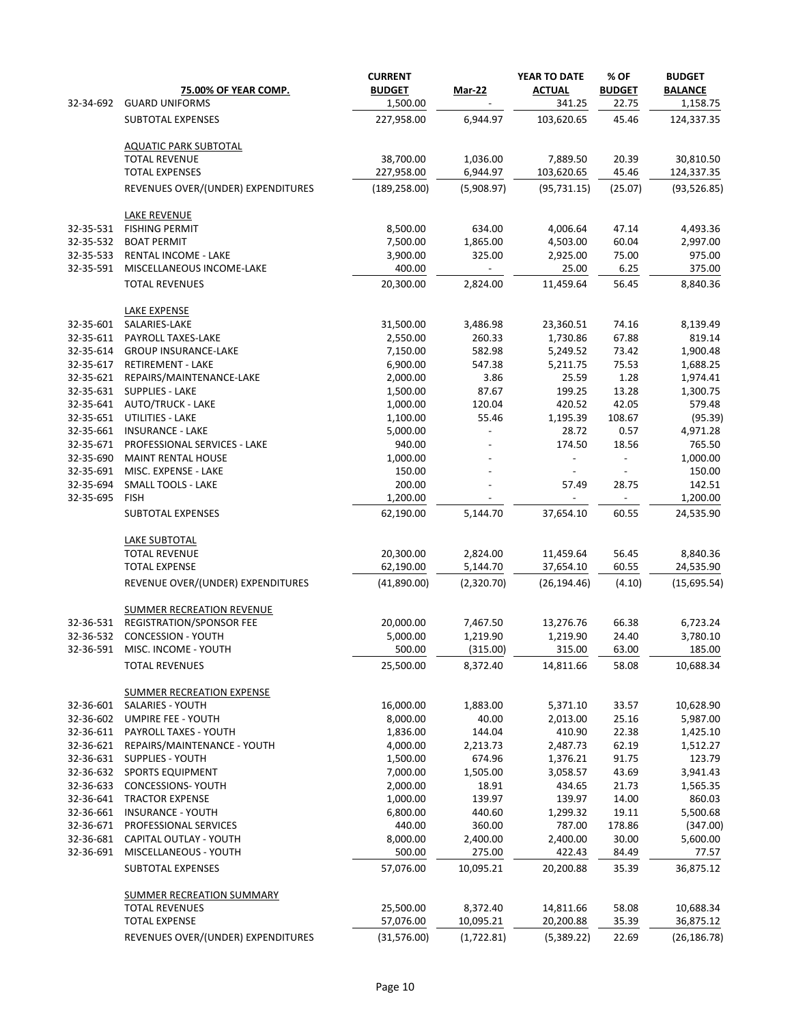|           |                                                             | <b>CURRENT</b> |                          | YEAR TO DATE         | % OF           | <b>BUDGET</b>      |
|-----------|-------------------------------------------------------------|----------------|--------------------------|----------------------|----------------|--------------------|
|           | 75.00% OF YEAR COMP.                                        | <b>BUDGET</b>  | <b>Mar-22</b>            | <b>ACTUAL</b>        | <b>BUDGET</b>  | <b>BALANCE</b>     |
| 32-34-692 | <b>GUARD UNIFORMS</b>                                       | 1,500.00       |                          | 341.25               | 22.75          | 1,158.75           |
|           | SUBTOTAL EXPENSES                                           | 227,958.00     | 6,944.97                 | 103,620.65           | 45.46          | 124,337.35         |
|           | <b>AQUATIC PARK SUBTOTAL</b>                                |                |                          |                      |                |                    |
|           | <b>TOTAL REVENUE</b>                                        | 38,700.00      | 1,036.00                 | 7,889.50             | 20.39          | 30,810.50          |
|           | <b>TOTAL EXPENSES</b>                                       | 227,958.00     | 6,944.97                 | 103,620.65           | 45.46          | 124,337.35         |
|           | REVENUES OVER/(UNDER) EXPENDITURES                          | (189, 258.00)  | (5,908.97)               | (95, 731.15)         | (25.07)        | (93, 526.85)       |
|           | <b>LAKE REVENUE</b>                                         |                |                          |                      |                |                    |
| 32-35-531 | <b>FISHING PERMIT</b>                                       | 8,500.00       | 634.00                   | 4,006.64             | 47.14          | 4,493.36           |
| 32-35-532 | <b>BOAT PERMIT</b>                                          | 7,500.00       | 1,865.00                 | 4,503.00             | 60.04          | 2,997.00           |
| 32-35-533 | <b>RENTAL INCOME - LAKE</b>                                 | 3,900.00       | 325.00                   | 2,925.00             | 75.00          | 975.00             |
| 32-35-591 | MISCELLANEOUS INCOME-LAKE                                   | 400.00         | $\overline{\phantom{a}}$ | 25.00                | 6.25           | 375.00             |
|           | <b>TOTAL REVENUES</b>                                       | 20,300.00      | 2,824.00                 | 11,459.64            | 56.45          | 8,840.36           |
|           | LAKE EXPENSE                                                |                |                          |                      |                |                    |
| 32-35-601 | SALARIES-LAKE                                               | 31,500.00      | 3,486.98                 | 23,360.51            | 74.16          | 8,139.49           |
| 32-35-611 | PAYROLL TAXES-LAKE                                          | 2,550.00       | 260.33                   | 1,730.86             | 67.88          | 819.14             |
| 32-35-614 | <b>GROUP INSURANCE-LAKE</b>                                 | 7,150.00       | 582.98                   | 5,249.52             | 73.42          | 1,900.48           |
| 32-35-617 | <b>RETIREMENT - LAKE</b>                                    | 6,900.00       | 547.38                   | 5,211.75             | 75.53          | 1,688.25           |
| 32-35-621 | REPAIRS/MAINTENANCE-LAKE                                    | 2,000.00       | 3.86                     | 25.59                | 1.28           | 1,974.41           |
| 32-35-631 | <b>SUPPLIES - LAKE</b>                                      | 1,500.00       | 87.67                    | 199.25               | 13.28          | 1,300.75           |
| 32-35-641 | <b>AUTO/TRUCK - LAKE</b>                                    | 1,000.00       | 120.04                   | 420.52               | 42.05          | 579.48             |
| 32-35-651 | UTILITIES - LAKE                                            | 1,100.00       | 55.46                    | 1,195.39             | 108.67         | (95.39)            |
| 32-35-661 | <b>INSURANCE - LAKE</b>                                     | 5,000.00       |                          | 28.72                | 0.57           | 4,971.28           |
| 32-35-671 | PROFESSIONAL SERVICES - LAKE                                | 940.00         |                          | 174.50               | 18.56          | 765.50             |
| 32-35-690 | <b>MAINT RENTAL HOUSE</b>                                   | 1,000.00       |                          |                      |                | 1,000.00           |
| 32-35-691 | MISC. EXPENSE - LAKE                                        | 150.00         |                          |                      |                | 150.00             |
| 32-35-694 | <b>SMALL TOOLS - LAKE</b>                                   | 200.00         |                          | 57.49                | 28.75          | 142.51             |
| 32-35-695 | <b>FISH</b>                                                 | 1,200.00       |                          | $\sim$               | $\blacksquare$ | 1,200.00           |
|           | SUBTOTAL EXPENSES                                           | 62,190.00      | 5,144.70                 | 37,654.10            | 60.55          | 24,535.90          |
|           | <b>LAKE SUBTOTAL</b>                                        |                |                          |                      |                |                    |
|           | <b>TOTAL REVENUE</b>                                        | 20,300.00      | 2,824.00                 | 11,459.64            | 56.45          | 8,840.36           |
|           | <b>TOTAL EXPENSE</b>                                        | 62,190.00      | 5,144.70                 | 37,654.10            | 60.55          | 24,535.90          |
|           | REVENUE OVER/(UNDER) EXPENDITURES                           | (41,890.00)    | (2,320.70)               | (26, 194.46)         | (4.10)         | (15,695.54)        |
|           | <b>SUMMER RECREATION REVENUE</b>                            |                |                          |                      |                |                    |
| 32-36-531 | REGISTRATION/SPONSOR FEE                                    | 20,000.00      | 7,467.50                 | 13,276.76            | 66.38          | 6,723.24           |
| 32-36-532 | CONCESSION - YOUTH                                          | 5,000.00       | 1,219.90                 | 1,219.90             | 24.40          | 3,780.10           |
| 32-36-591 | MISC. INCOME - YOUTH                                        | 500.00         | (315.00)                 | 315.00               | 63.00          | 185.00             |
|           | <b>TOTAL REVENUES</b>                                       | 25,500.00      | 8,372.40                 | 14,811.66            | 58.08          | 10,688.34          |
|           |                                                             |                |                          |                      |                |                    |
| 32-36-601 | <b>SUMMER RECREATION EXPENSE</b><br><b>SALARIES - YOUTH</b> | 16,000.00      | 1,883.00                 | 5,371.10             | 33.57          | 10,628.90          |
| 32-36-602 | UMPIRE FEE - YOUTH                                          | 8,000.00       | 40.00                    | 2,013.00             | 25.16          | 5,987.00           |
| 32-36-611 |                                                             | 1,836.00       | 144.04                   |                      | 22.38          |                    |
| 32-36-621 | PAYROLL TAXES - YOUTH<br>REPAIRS/MAINTENANCE - YOUTH        | 4,000.00       |                          | 410.90               | 62.19          | 1,425.10           |
| 32-36-631 | <b>SUPPLIES - YOUTH</b>                                     | 1,500.00       | 2,213.73<br>674.96       | 2,487.73<br>1,376.21 | 91.75          | 1,512.27<br>123.79 |
| 32-36-632 | <b>SPORTS EQUIPMENT</b>                                     | 7,000.00       | 1,505.00                 | 3,058.57             | 43.69          | 3,941.43           |
| 32-36-633 | <b>CONCESSIONS- YOUTH</b>                                   | 2,000.00       | 18.91                    | 434.65               | 21.73          | 1,565.35           |
| 32-36-641 | <b>TRACTOR EXPENSE</b>                                      | 1,000.00       | 139.97                   | 139.97               | 14.00          | 860.03             |
| 32-36-661 | <b>INSURANCE - YOUTH</b>                                    | 6,800.00       | 440.60                   | 1,299.32             | 19.11          | 5,500.68           |
| 32-36-671 | PROFESSIONAL SERVICES                                       | 440.00         | 360.00                   | 787.00               | 178.86         | (347.00)           |
| 32-36-681 | CAPITAL OUTLAY - YOUTH                                      | 8,000.00       | 2,400.00                 | 2,400.00             | 30.00          | 5,600.00           |
| 32-36-691 | MISCELLANEOUS - YOUTH                                       | 500.00         | 275.00                   | 422.43               | 84.49          | 77.57              |
|           | SUBTOTAL EXPENSES                                           | 57,076.00      | 10,095.21                | 20,200.88            | 35.39          | 36,875.12          |
|           | <b>SUMMER RECREATION SUMMARY</b>                            |                |                          |                      |                |                    |
|           | <b>TOTAL REVENUES</b>                                       | 25,500.00      | 8,372.40                 | 14,811.66            | 58.08          | 10,688.34          |
|           | <b>TOTAL EXPENSE</b>                                        | 57,076.00      | 10,095.21                | 20,200.88            | 35.39          | 36,875.12          |
|           | REVENUES OVER/(UNDER) EXPENDITURES                          | (31,576.00)    | (1,722.81)               | (5,389.22)           | 22.69          | (26, 186.78)       |
|           |                                                             |                |                          |                      |                |                    |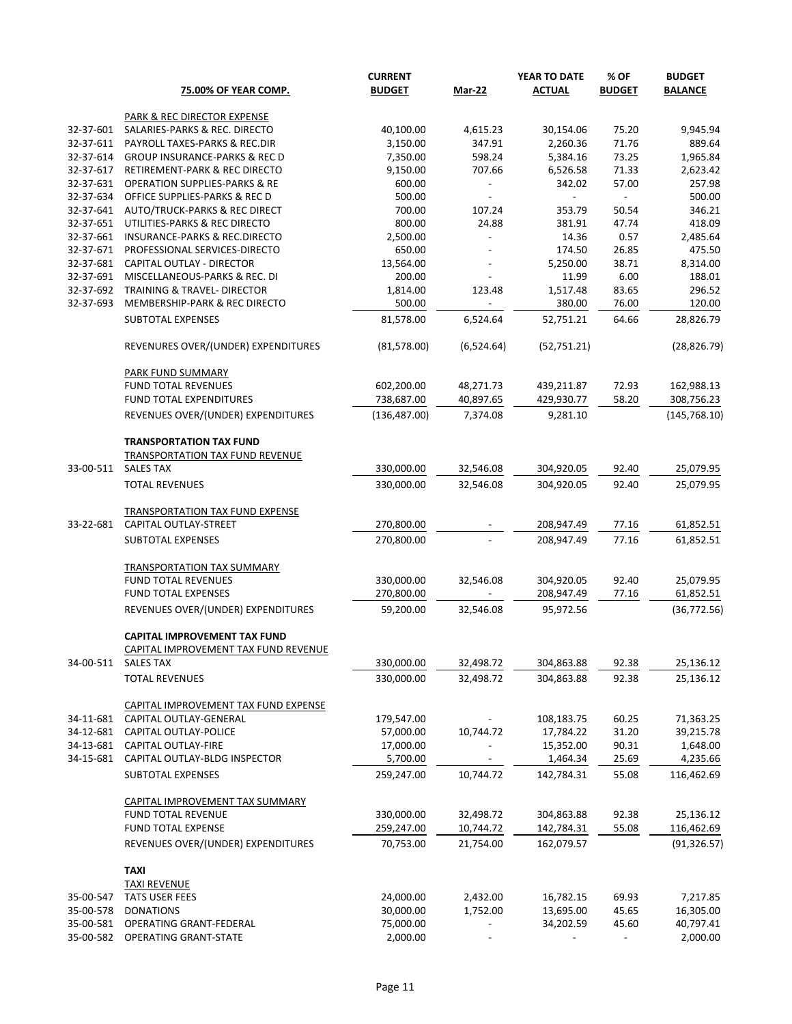|                        | <b>75.00% OF YEAR COMP.</b>                                     | <b>CURRENT</b><br><b>BUDGET</b> | <b>Mar-22</b>            | YEAR TO DATE<br><b>ACTUAL</b> | % OF<br><b>BUDGET</b>    | <b>BUDGET</b><br><b>BALANCE</b> |
|------------------------|-----------------------------------------------------------------|---------------------------------|--------------------------|-------------------------------|--------------------------|---------------------------------|
|                        | <b>PARK &amp; REC DIRECTOR EXPENSE</b>                          |                                 |                          |                               |                          |                                 |
| 32-37-601              | SALARIES-PARKS & REC. DIRECTO                                   | 40,100.00                       | 4,615.23                 | 30,154.06                     | 75.20                    | 9,945.94                        |
| 32-37-611              | PAYROLL TAXES-PARKS & REC.DIR                                   | 3,150.00                        | 347.91                   | 2,260.36                      | 71.76                    | 889.64                          |
| 32-37-614              | <b>GROUP INSURANCE-PARKS &amp; REC D</b>                        | 7,350.00                        | 598.24                   | 5,384.16                      | 73.25                    | 1,965.84                        |
| 32-37-617              | RETIREMENT-PARK & REC DIRECTO                                   | 9,150.00                        | 707.66                   | 6,526.58                      | 71.33                    | 2,623.42                        |
| 32-37-631              | <b>OPERATION SUPPLIES-PARKS &amp; RE</b>                        | 600.00                          |                          | 342.02                        | 57.00                    | 257.98                          |
| 32-37-634              | OFFICE SUPPLIES-PARKS & REC D                                   | 500.00                          | $\blacksquare$           | $\sim$                        |                          | 500.00                          |
| 32-37-641              | AUTO/TRUCK-PARKS & REC DIRECT                                   | 700.00                          | 107.24                   | 353.79                        | 50.54                    | 346.21                          |
| 32-37-651              | UTILITIES-PARKS & REC DIRECTO                                   | 800.00                          | 24.88                    | 381.91                        | 47.74                    | 418.09                          |
| 32-37-661              | <b>INSURANCE-PARKS &amp; REC.DIRECTO</b>                        | 2,500.00                        |                          | 14.36                         | 0.57                     | 2,485.64                        |
| 32-37-671<br>32-37-681 | PROFESSIONAL SERVICES-DIRECTO<br>CAPITAL OUTLAY - DIRECTOR      | 650.00<br>13,564.00             |                          | 174.50<br>5,250.00            | 26.85<br>38.71           | 475.50<br>8,314.00              |
| 32-37-691              | MISCELLANEOUS-PARKS & REC. DI                                   | 200.00                          |                          | 11.99                         | 6.00                     | 188.01                          |
| 32-37-692              | <b>TRAINING &amp; TRAVEL- DIRECTOR</b>                          | 1,814.00                        | 123.48                   | 1,517.48                      | 83.65                    | 296.52                          |
| 32-37-693              | MEMBERSHIP-PARK & REC DIRECTO                                   | 500.00                          |                          | 380.00                        | 76.00                    | 120.00                          |
|                        | SUBTOTAL EXPENSES                                               | 81,578.00                       | 6,524.64                 | 52,751.21                     | 64.66                    | 28,826.79                       |
|                        | REVENURES OVER/(UNDER) EXPENDITURES                             | (81, 578.00)                    | (6,524.64)               | (52,751.21)                   |                          | (28, 826.79)                    |
|                        |                                                                 |                                 |                          |                               |                          |                                 |
|                        | <b>PARK FUND SUMMARY</b><br><b>FUND TOTAL REVENUES</b>          |                                 |                          |                               |                          |                                 |
|                        | FUND TOTAL EXPENDITURES                                         | 602,200.00<br>738,687.00        | 48,271.73<br>40,897.65   | 439,211.87<br>429,930.77      | 72.93<br>58.20           | 162,988.13<br>308,756.23        |
|                        | REVENUES OVER/(UNDER) EXPENDITURES                              | (136, 487.00)                   | 7,374.08                 | 9,281.10                      |                          | (145, 768.10)                   |
|                        |                                                                 |                                 |                          |                               |                          |                                 |
|                        | <b>TRANSPORTATION TAX FUND</b>                                  |                                 |                          |                               |                          |                                 |
| 33-00-511              | <b>TRANSPORTATION TAX FUND REVENUE</b><br><b>SALES TAX</b>      | 330,000.00                      | 32,546.08                | 304,920.05                    | 92.40                    | 25,079.95                       |
|                        | <b>TOTAL REVENUES</b>                                           | 330,000.00                      | 32,546.08                | 304,920.05                    | 92.40                    | 25,079.95                       |
|                        |                                                                 |                                 |                          |                               |                          |                                 |
| 33-22-681              | <b>TRANSPORTATION TAX FUND EXPENSE</b><br>CAPITAL OUTLAY-STREET | 270,800.00                      |                          | 208,947.49                    | 77.16                    | 61,852.51                       |
|                        |                                                                 |                                 |                          |                               |                          |                                 |
|                        | SUBTOTAL EXPENSES                                               | 270,800.00                      |                          | 208,947.49                    | 77.16                    | 61,852.51                       |
|                        | TRANSPORTATION TAX SUMMARY                                      |                                 |                          |                               |                          |                                 |
|                        | <b>FUND TOTAL REVENUES</b>                                      | 330,000.00                      | 32,546.08                | 304,920.05                    | 92.40                    | 25,079.95                       |
|                        | FUND TOTAL EXPENSES                                             | 270,800.00                      |                          | 208,947.49                    | 77.16                    | 61,852.51                       |
|                        | REVENUES OVER/(UNDER) EXPENDITURES                              | 59,200.00                       | 32,546.08                | 95,972.56                     |                          | (36, 772.56)                    |
|                        |                                                                 |                                 |                          |                               |                          |                                 |
|                        | <b>CAPITAL IMPROVEMENT TAX FUND</b>                             |                                 |                          |                               |                          |                                 |
| 34-00-511              | CAPITAL IMPROVEMENT TAX FUND REVENUE<br><b>SALES TAX</b>        | 330,000.00                      | 32,498.72                | 304,863.88                    | 92.38                    | 25,136.12                       |
|                        |                                                                 |                                 |                          |                               |                          |                                 |
|                        | <b>TOTAL REVENUES</b>                                           | 330,000.00                      | 32,498.72                | 304,863.88                    | 92.38                    | 25,136.12                       |
|                        | CAPITAL IMPROVEMENT TAX FUND EXPENSE                            |                                 |                          |                               |                          |                                 |
| 34-11-681              | CAPITAL OUTLAY-GENERAL                                          | 179,547.00                      |                          | 108,183.75                    | 60.25                    | 71,363.25                       |
| 34-12-681              | CAPITAL OUTLAY-POLICE                                           | 57,000.00                       | 10,744.72                | 17,784.22                     | 31.20                    | 39,215.78                       |
| 34-13-681              | CAPITAL OUTLAY-FIRE                                             | 17,000.00                       |                          | 15,352.00                     | 90.31                    | 1,648.00                        |
| 34-15-681              | CAPITAL OUTLAY-BLDG INSPECTOR                                   | 5,700.00                        |                          | 1,464.34                      | 25.69                    | 4,235.66                        |
|                        | SUBTOTAL EXPENSES                                               | 259,247.00                      | 10,744.72                | 142,784.31                    | 55.08                    | 116,462.69                      |
|                        |                                                                 |                                 |                          |                               |                          |                                 |
|                        | CAPITAL IMPROVEMENT TAX SUMMARY<br>FUND TOTAL REVENUE           | 330,000.00                      | 32,498.72                | 304,863.88                    | 92.38                    | 25,136.12                       |
|                        | FUND TOTAL EXPENSE                                              | 259,247.00                      | 10,744.72                | 142,784.31                    | 55.08                    | 116,462.69                      |
|                        | REVENUES OVER/(UNDER) EXPENDITURES                              | 70,753.00                       | 21,754.00                | 162,079.57                    |                          | (91, 326.57)                    |
|                        | <b>TAXI</b>                                                     |                                 |                          |                               |                          |                                 |
|                        | <b>TAXI REVENUE</b>                                             |                                 |                          |                               |                          |                                 |
| 35-00-547              | <b>TATS USER FEES</b>                                           | 24,000.00                       | 2,432.00                 | 16,782.15                     | 69.93                    | 7,217.85                        |
| 35-00-578              | <b>DONATIONS</b>                                                | 30,000.00                       | 1,752.00                 | 13,695.00                     | 45.65                    | 16,305.00                       |
| 35-00-581              | OPERATING GRANT-FEDERAL                                         | 75,000.00                       | $\overline{\phantom{a}}$ | 34,202.59                     | 45.60                    | 40,797.41                       |
| 35-00-582              | <b>OPERATING GRANT-STATE</b>                                    | 2,000.00                        | $\overline{\phantom{a}}$ |                               | $\overline{\phantom{a}}$ | 2,000.00                        |